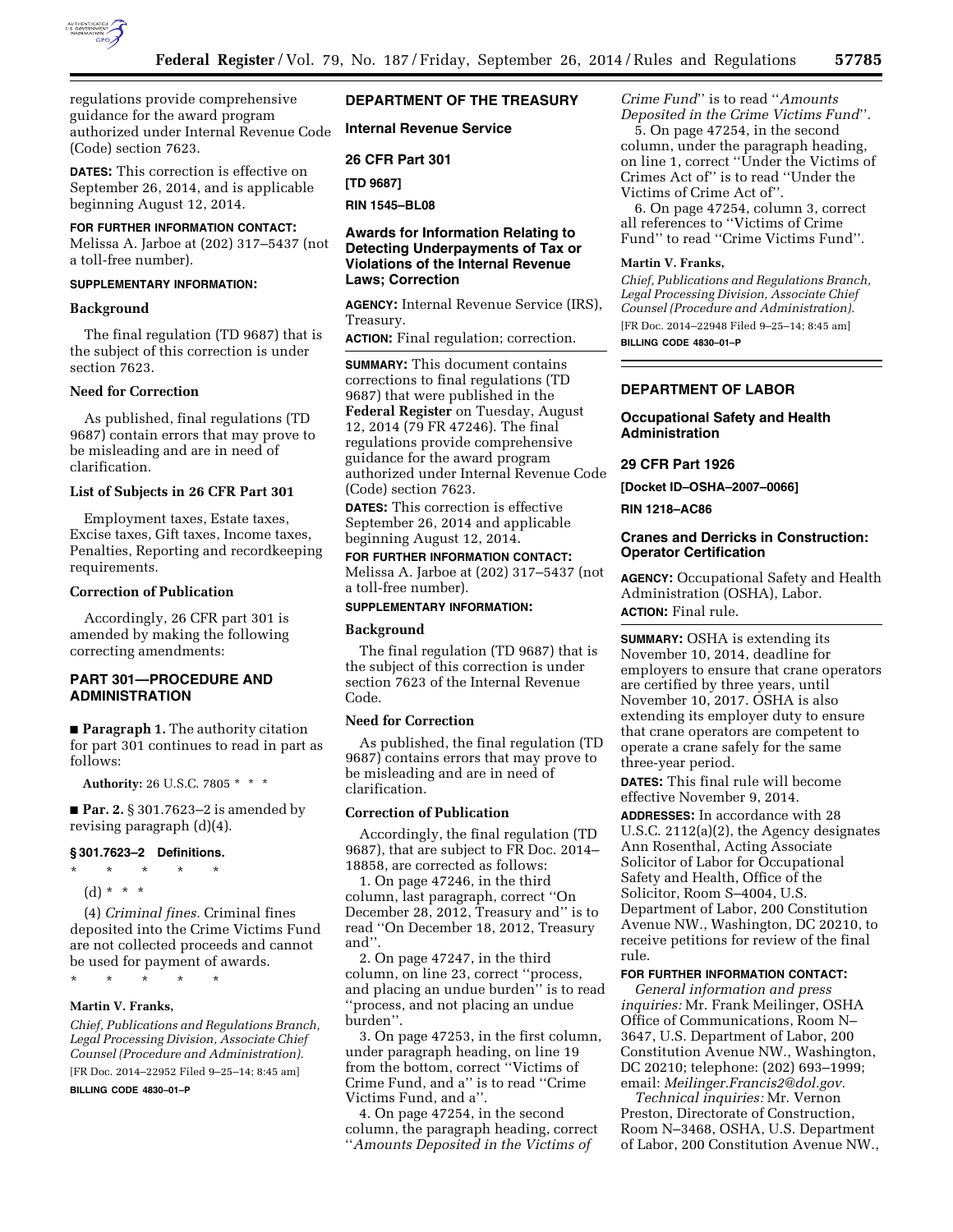

regulations provide comprehensive guidance for the award program authorized under Internal Revenue Code (Code) section 7623.

**DATES:** This correction is effective on September 26, 2014, and is applicable beginning August 12, 2014.

# **FOR FURTHER INFORMATION CONTACT:**

Melissa A. Jarboe at (202) 317–5437 (not a toll-free number).

# **SUPPLEMENTARY INFORMATION:**

### **Background**

The final regulation (TD 9687) that is the subject of this correction is under section 7623.

### **Need for Correction**

As published, final regulations (TD 9687) contain errors that may prove to be misleading and are in need of clarification.

#### **List of Subjects in 26 CFR Part 301**

Employment taxes, Estate taxes, Excise taxes, Gift taxes, Income taxes, Penalties, Reporting and recordkeeping requirements.

#### **Correction of Publication**

Accordingly, 26 CFR part 301 is amended by making the following correcting amendments:

# **PART 301—PROCEDURE AND ADMINISTRATION**

■ **Paragraph 1.** The authority citation for part 301 continues to read in part as follows:

**Authority:** 26 U.S.C. 7805 \* \* \*

■ **Par. 2.** § 301.7623–2 is amended by revising paragraph (d)(4).

#### **§ 301.7623–2 Definitions.**

- \* \* \* \* \*
- (d) \* \* \*

(4) *Criminal fines.* Criminal fines deposited into the Crime Victims Fund are not collected proceeds and cannot be used for payment of awards.

\* \* \* \* \*

# **Martin V. Franks,**

*Chief, Publications and Regulations Branch, Legal Processing Division, Associate Chief Counsel (Procedure and Administration).*  [FR Doc. 2014–22952 Filed 9–25–14; 8:45 am]

**BILLING CODE 4830–01–P** 

# **DEPARTMENT OF THE TREASURY**

**Internal Revenue Service** 

**26 CFR Part 301** 

**[TD 9687]** 

**RIN 1545–BL08** 

# **Awards for Information Relating to Detecting Underpayments of Tax or Violations of the Internal Revenue Laws; Correction**

**AGENCY:** Internal Revenue Service (IRS), Treasury.

**ACTION:** Final regulation; correction.

**SUMMARY:** This document contains corrections to final regulations (TD 9687) that were published in the **Federal Register** on Tuesday, August 12, 2014 (79 FR 47246). The final regulations provide comprehensive guidance for the award program authorized under Internal Revenue Code (Code) section 7623.

**DATES:** This correction is effective September 26, 2014 and applicable beginning August 12, 2014.

# **FOR FURTHER INFORMATION CONTACT:**  Melissa A. Jarboe at (202) 317–5437 (not a toll-free number).

# **SUPPLEMENTARY INFORMATION:**

#### **Background**

The final regulation (TD 9687) that is the subject of this correction is under section 7623 of the Internal Revenue Code.

#### **Need for Correction**

As published, the final regulation (TD 9687) contains errors that may prove to be misleading and are in need of clarification.

### **Correction of Publication**

Accordingly, the final regulation (TD 9687), that are subject to FR Doc. 2014– 18858, are corrected as follows:

1. On page 47246, in the third column, last paragraph, correct ''On December 28, 2012, Treasury and'' is to read ''On December 18, 2012, Treasury and''.

2. On page 47247, in the third column, on line 23, correct ''process, and placing an undue burden'' is to read ''process, and not placing an undue burden''.

3. On page 47253, in the first column, under paragraph heading, on line 19 from the bottom, correct ''Victims of Crime Fund, and a'' is to read ''Crime Victims Fund, and a''.

4. On page 47254, in the second column, the paragraph heading, correct ''*Amounts Deposited in the Victims of* 

*Crime Fund*'' is to read ''*Amounts Deposited in the Crime Victims Fund*''.

5. On page 47254, in the second column, under the paragraph heading, on line 1, correct ''Under the Victims of Crimes Act of'' is to read ''Under the Victims of Crime Act of''.

6. On page 47254, column 3, correct all references to ''Victims of Crime Fund'' to read ''Crime Victims Fund''.

### **Martin V. Franks,**

*Chief, Publications and Regulations Branch, Legal Processing Division, Associate Chief Counsel (Procedure and Administration).*  [FR Doc. 2014–22948 Filed 9–25–14; 8:45 am]

**BILLING CODE 4830–01–P** 

### **DEPARTMENT OF LABOR**

# **Occupational Safety and Health Administration**

#### **29 CFR Part 1926**

**[Docket ID–OSHA–2007–0066]** 

**RIN 1218–AC86** 

## **Cranes and Derricks in Construction: Operator Certification**

**AGENCY:** Occupational Safety and Health Administration (OSHA), Labor. **ACTION:** Final rule.

**SUMMARY:** OSHA is extending its November 10, 2014, deadline for employers to ensure that crane operators are certified by three years, until November 10, 2017. OSHA is also extending its employer duty to ensure that crane operators are competent to operate a crane safely for the same three-year period.

**DATES:** This final rule will become effective November 9, 2014.

**ADDRESSES:** In accordance with 28 U.S.C. 2112(a)(2), the Agency designates Ann Rosenthal, Acting Associate Solicitor of Labor for Occupational Safety and Health, Office of the Solicitor, Room S–4004, U.S. Department of Labor, 200 Constitution Avenue NW., Washington, DC 20210, to receive petitions for review of the final rule.

#### **FOR FURTHER INFORMATION CONTACT:**

*General information and press inquiries:* Mr. Frank Meilinger, OSHA Office of Communications, Room N– 3647, U.S. Department of Labor, 200 Constitution Avenue NW., Washington, DC 20210; telephone: (202) 693–1999; email: *[Meilinger.Francis2@dol.gov.](mailto:Meilinger.Francis2@dol.gov)* 

*Technical inquiries:* Mr. Vernon Preston, Directorate of Construction, Room N–3468, OSHA, U.S. Department of Labor, 200 Constitution Avenue NW.,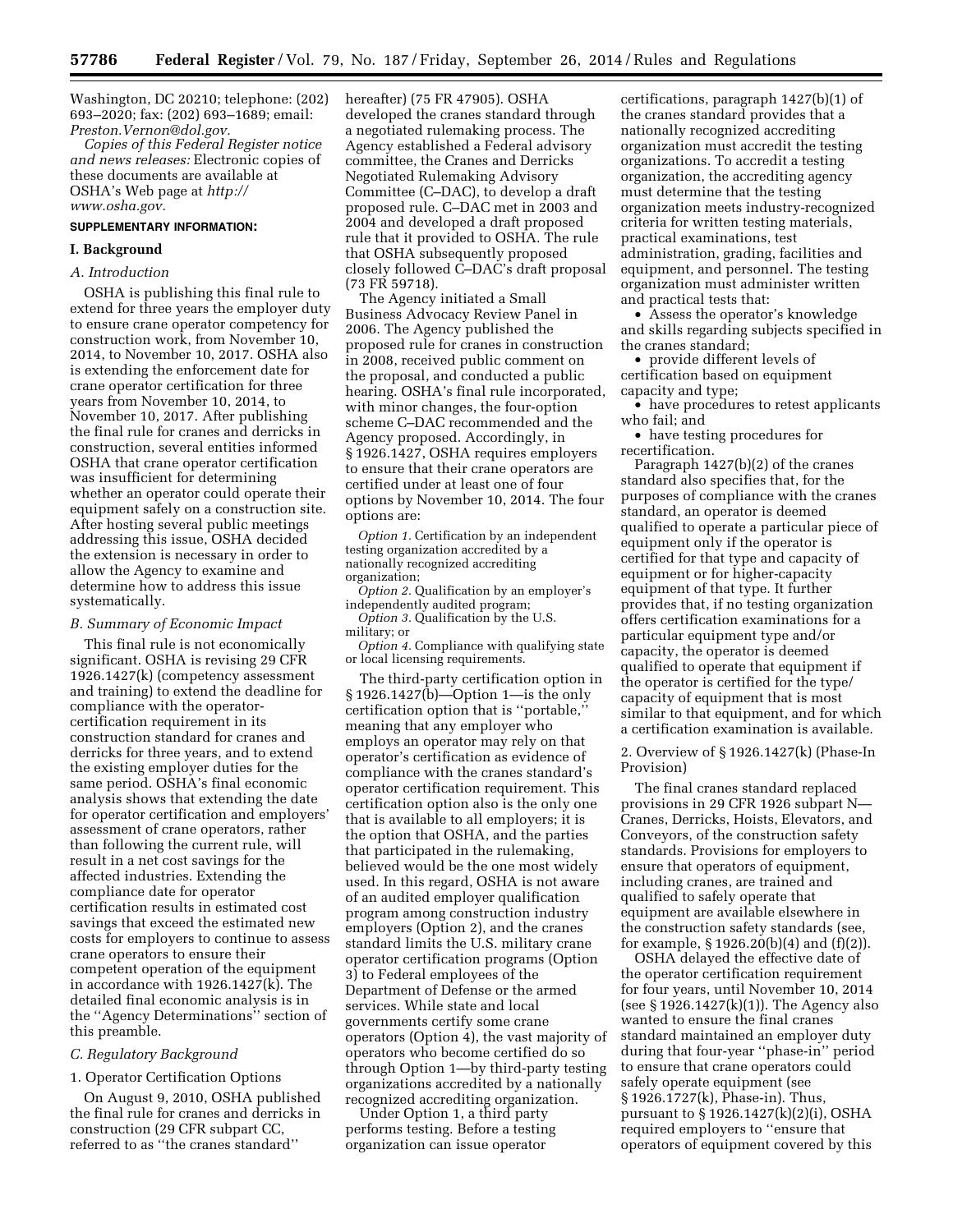Washington, DC 20210; telephone: (202) 693–2020; fax: (202) 693–1689; email: *[Preston.Vernon@dol.gov.](mailto:Preston.Vernon@dol.gov)* 

*Copies of this Federal Register notice and news releases:* Electronic copies of these documents are available at OSHA's Web page at *[http://](http://www.osha.gov) [www.osha.gov.](http://www.osha.gov)* 

#### **SUPPLEMENTARY INFORMATION:**

### **I. Background**

#### *A. Introduction*

OSHA is publishing this final rule to extend for three years the employer duty to ensure crane operator competency for construction work, from November 10, 2014, to November 10, 2017. OSHA also is extending the enforcement date for crane operator certification for three years from November 10, 2014, to November 10, 2017. After publishing the final rule for cranes and derricks in construction, several entities informed OSHA that crane operator certification was insufficient for determining whether an operator could operate their equipment safely on a construction site. After hosting several public meetings addressing this issue, OSHA decided the extension is necessary in order to allow the Agency to examine and determine how to address this issue systematically.

#### *B. Summary of Economic Impact*

This final rule is not economically significant. OSHA is revising 29 CFR 1926.1427(k) (competency assessment and training) to extend the deadline for compliance with the operatorcertification requirement in its construction standard for cranes and derricks for three years, and to extend the existing employer duties for the same period. OSHA's final economic analysis shows that extending the date for operator certification and employers' assessment of crane operators, rather than following the current rule, will result in a net cost savings for the affected industries. Extending the compliance date for operator certification results in estimated cost savings that exceed the estimated new costs for employers to continue to assess crane operators to ensure their competent operation of the equipment in accordance with 1926.1427(k). The detailed final economic analysis is in the ''Agency Determinations'' section of this preamble.

### *C. Regulatory Background*

### 1. Operator Certification Options

On August 9, 2010, OSHA published the final rule for cranes and derricks in construction (29 CFR subpart CC, referred to as ''the cranes standard''

hereafter) (75 FR 47905). OSHA developed the cranes standard through a negotiated rulemaking process. The Agency established a Federal advisory committee, the Cranes and Derricks Negotiated Rulemaking Advisory Committee (C–DAC), to develop a draft proposed rule. C–DAC met in 2003 and 2004 and developed a draft proposed rule that it provided to OSHA. The rule that OSHA subsequently proposed closely followed C–DAC's draft proposal (73 FR 59718).

The Agency initiated a Small Business Advocacy Review Panel in 2006. The Agency published the proposed rule for cranes in construction in 2008, received public comment on the proposal, and conducted a public hearing. OSHA's final rule incorporated, with minor changes, the four-option scheme C–DAC recommended and the Agency proposed. Accordingly, in § 1926.1427, OSHA requires employers to ensure that their crane operators are certified under at least one of four options by November 10, 2014. The four options are:

*Option 1.* Certification by an independent testing organization accredited by a nationally recognized accrediting organization;

*Option 2.* Qualification by an employer's independently audited program;

*Option 3.* Qualification by the U.S. military; or

*Option 4.* Compliance with qualifying state or local licensing requirements.

The third-party certification option in § 1926.1427(b)—Option 1—is the only certification option that is ''portable,'' meaning that any employer who employs an operator may rely on that operator's certification as evidence of compliance with the cranes standard's operator certification requirement. This certification option also is the only one that is available to all employers; it is the option that OSHA, and the parties that participated in the rulemaking, believed would be the one most widely used. In this regard, OSHA is not aware of an audited employer qualification program among construction industry employers (Option 2), and the cranes standard limits the U.S. military crane operator certification programs (Option 3) to Federal employees of the Department of Defense or the armed services. While state and local governments certify some crane operators (Option 4), the vast majority of operators who become certified do so through Option 1—by third-party testing organizations accredited by a nationally recognized accrediting organization.

Under Option 1, a third party performs testing. Before a testing organization can issue operator

certifications, paragraph 1427(b)(1) of the cranes standard provides that a nationally recognized accrediting organization must accredit the testing organizations. To accredit a testing organization, the accrediting agency must determine that the testing organization meets industry-recognized criteria for written testing materials, practical examinations, test administration, grading, facilities and equipment, and personnel. The testing organization must administer written and practical tests that:

• Assess the operator's knowledge and skills regarding subjects specified in the cranes standard;

• provide different levels of certification based on equipment capacity and type;

• have procedures to retest applicants who fail; and

• have testing procedures for recertification.

Paragraph 1427(b)(2) of the cranes standard also specifies that, for the purposes of compliance with the cranes standard, an operator is deemed qualified to operate a particular piece of equipment only if the operator is certified for that type and capacity of equipment or for higher-capacity equipment of that type. It further provides that, if no testing organization offers certification examinations for a particular equipment type and/or capacity, the operator is deemed qualified to operate that equipment if the operator is certified for the type/ capacity of equipment that is most similar to that equipment, and for which a certification examination is available.

2. Overview of § 1926.1427(k) (Phase-In Provision)

The final cranes standard replaced provisions in 29 CFR 1926 subpart N— Cranes, Derricks, Hoists, Elevators, and Conveyors, of the construction safety standards. Provisions for employers to ensure that operators of equipment, including cranes, are trained and qualified to safely operate that equipment are available elsewhere in the construction safety standards (see, for example, § 1926.20(b)(4) and (f)(2)).

OSHA delayed the effective date of the operator certification requirement for four years, until November 10, 2014 (see § 1926.1427(k)(1)). The Agency also wanted to ensure the final cranes standard maintained an employer duty during that four-year ''phase-in'' period to ensure that crane operators could safely operate equipment (see § 1926.1727(k), Phase-in). Thus, pursuant to § 1926.1427(k)(2)(i), OSHA required employers to ''ensure that operators of equipment covered by this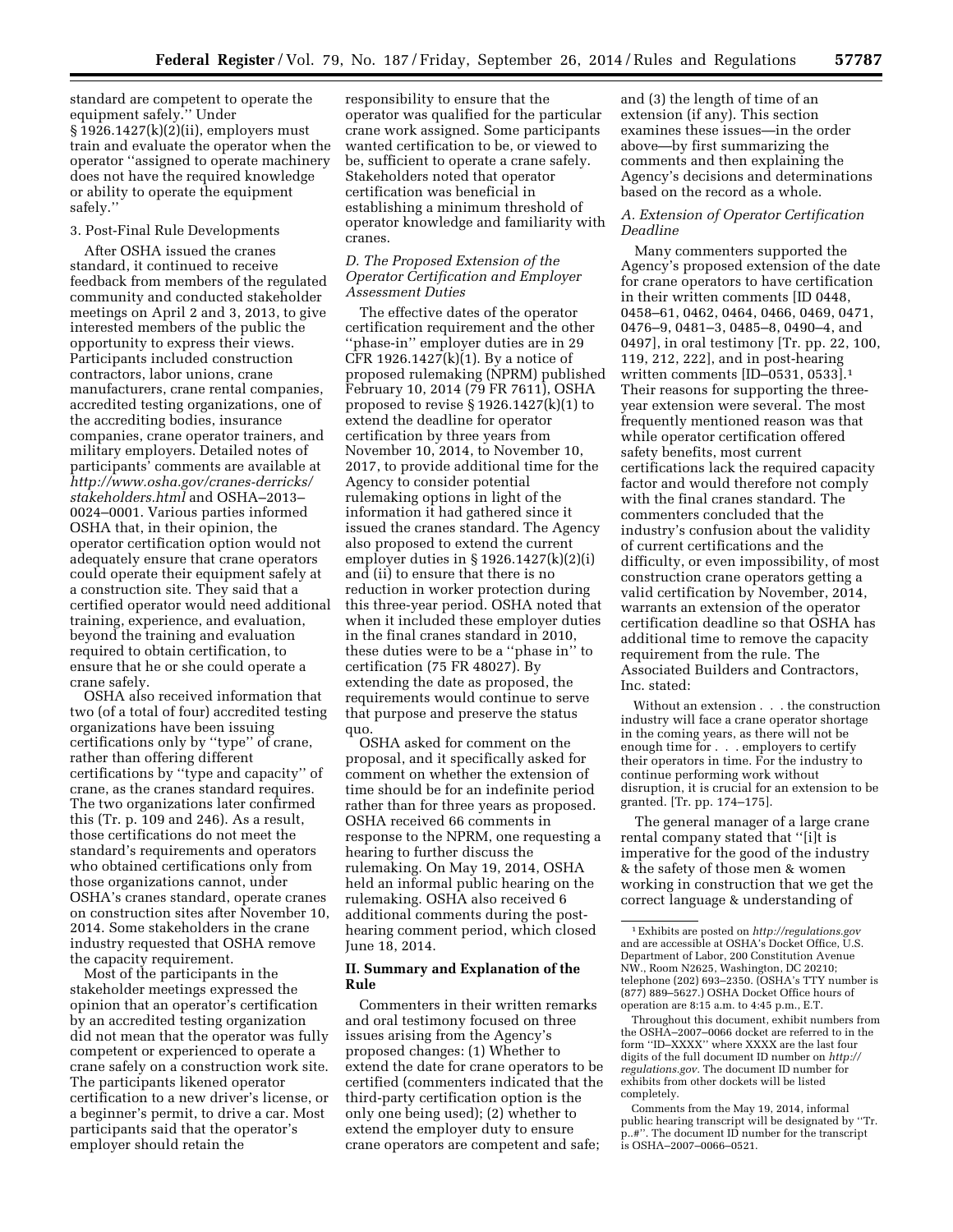standard are competent to operate the equipment safely.'' Under § 1926.1427(k)(2)(ii), employers must train and evaluate the operator when the operator ''assigned to operate machinery does not have the required knowledge or ability to operate the equipment safely.''

### 3. Post-Final Rule Developments

After OSHA issued the cranes standard, it continued to receive feedback from members of the regulated community and conducted stakeholder meetings on April 2 and 3, 2013, to give interested members of the public the opportunity to express their views. Participants included construction contractors, labor unions, crane manufacturers, crane rental companies, accredited testing organizations, one of the accrediting bodies, insurance companies, crane operator trainers, and military employers. Detailed notes of participants' comments are available at *[http://www.osha.gov/cranes-derricks/](http://www.osha.gov/cranes-derricks/stakeholders.html) [stakeholders.html](http://www.osha.gov/cranes-derricks/stakeholders.html)* and OSHA–2013– 0024–0001. Various parties informed OSHA that, in their opinion, the operator certification option would not adequately ensure that crane operators could operate their equipment safely at a construction site. They said that a certified operator would need additional training, experience, and evaluation, beyond the training and evaluation required to obtain certification, to ensure that he or she could operate a crane safely.

OSHA also received information that two (of a total of four) accredited testing organizations have been issuing certifications only by ''type'' of crane, rather than offering different certifications by ''type and capacity'' of crane, as the cranes standard requires. The two organizations later confirmed this (Tr. p. 109 and 246). As a result, those certifications do not meet the standard's requirements and operators who obtained certifications only from those organizations cannot, under OSHA's cranes standard, operate cranes on construction sites after November 10, 2014. Some stakeholders in the crane industry requested that OSHA remove the capacity requirement.

Most of the participants in the stakeholder meetings expressed the opinion that an operator's certification by an accredited testing organization did not mean that the operator was fully competent or experienced to operate a crane safely on a construction work site. The participants likened operator certification to a new driver's license, or a beginner's permit, to drive a car. Most participants said that the operator's employer should retain the

responsibility to ensure that the operator was qualified for the particular crane work assigned. Some participants wanted certification to be, or viewed to be, sufficient to operate a crane safely. Stakeholders noted that operator certification was beneficial in establishing a minimum threshold of operator knowledge and familiarity with cranes.

#### *D. The Proposed Extension of the Operator Certification and Employer Assessment Duties*

The effective dates of the operator certification requirement and the other ''phase-in'' employer duties are in 29 CFR 1926.1427 $(k)(1)$ . By a notice of proposed rulemaking (NPRM) published February 10, 2014 (79 FR 7611), OSHA proposed to revise § 1926.1427(k)(1) to extend the deadline for operator certification by three years from November 10, 2014, to November 10, 2017, to provide additional time for the Agency to consider potential rulemaking options in light of the information it had gathered since it issued the cranes standard. The Agency also proposed to extend the current employer duties in § 1926.1427(k)(2)(i) and (ii) to ensure that there is no reduction in worker protection during this three-year period. OSHA noted that when it included these employer duties in the final cranes standard in 2010, these duties were to be a ''phase in'' to certification (75 FR 48027). By extending the date as proposed, the requirements would continue to serve that purpose and preserve the status quo.

OSHA asked for comment on the proposal, and it specifically asked for comment on whether the extension of time should be for an indefinite period rather than for three years as proposed. OSHA received 66 comments in response to the NPRM, one requesting a hearing to further discuss the rulemaking. On May 19, 2014, OSHA held an informal public hearing on the rulemaking. OSHA also received 6 additional comments during the posthearing comment period, which closed June 18, 2014.

### **II. Summary and Explanation of the Rule**

Commenters in their written remarks and oral testimony focused on three issues arising from the Agency's proposed changes: (1) Whether to extend the date for crane operators to be certified (commenters indicated that the third-party certification option is the only one being used); (2) whether to extend the employer duty to ensure crane operators are competent and safe;

and (3) the length of time of an extension (if any). This section examines these issues—in the order above—by first summarizing the comments and then explaining the Agency's decisions and determinations based on the record as a whole.

### *A. Extension of Operator Certification Deadline*

Many commenters supported the Agency's proposed extension of the date for crane operators to have certification in their written comments [ID 0448, 0458–61, 0462, 0464, 0466, 0469, 0471, 0476–9, 0481–3, 0485–8, 0490–4, and 0497], in oral testimony [Tr. pp. 22, 100, 119, 212, 222], and in post-hearing written comments [ID–0531, 0533].1 Their reasons for supporting the threeyear extension were several. The most frequently mentioned reason was that while operator certification offered safety benefits, most current certifications lack the required capacity factor and would therefore not comply with the final cranes standard. The commenters concluded that the industry's confusion about the validity of current certifications and the difficulty, or even impossibility, of most construction crane operators getting a valid certification by November, 2014, warrants an extension of the operator certification deadline so that OSHA has additional time to remove the capacity requirement from the rule. The Associated Builders and Contractors, Inc. stated:

Without an extension . . . the construction industry will face a crane operator shortage in the coming years, as there will not be enough time for . . . employers to certify their operators in time. For the industry to continue performing work without disruption, it is crucial for an extension to be granted. [Tr. pp. 174–175].

The general manager of a large crane rental company stated that ''[i]t is imperative for the good of the industry & the safety of those men & women working in construction that we get the correct language & understanding of

Throughout this document, exhibit numbers from the OSHA–2007–0066 docket are referred to in the form ''ID–XXXX'' where XXXX are the last four digits of the full document ID number on *[http://](http://regulations.gov) [regulations.gov.](http://regulations.gov)* The document ID number for exhibits from other dockets will be listed completely.

Comments from the May 19, 2014, informal public hearing transcript will be designated by ''Tr. p..#''. The document ID number for the transcript is OSHA–2007–0066–0521.

<sup>1</sup>Exhibits are posted on *<http://regulations.gov>*  and are accessible at OSHA's Docket Office, U.S. Department of Labor, 200 Constitution Avenue NW., Room N2625, Washington, DC 20210; telephone (202) 693–2350. (OSHA's TTY number is (877) 889–5627.) OSHA Docket Office hours of operation are 8:15 a.m. to 4:45 p.m., E.T.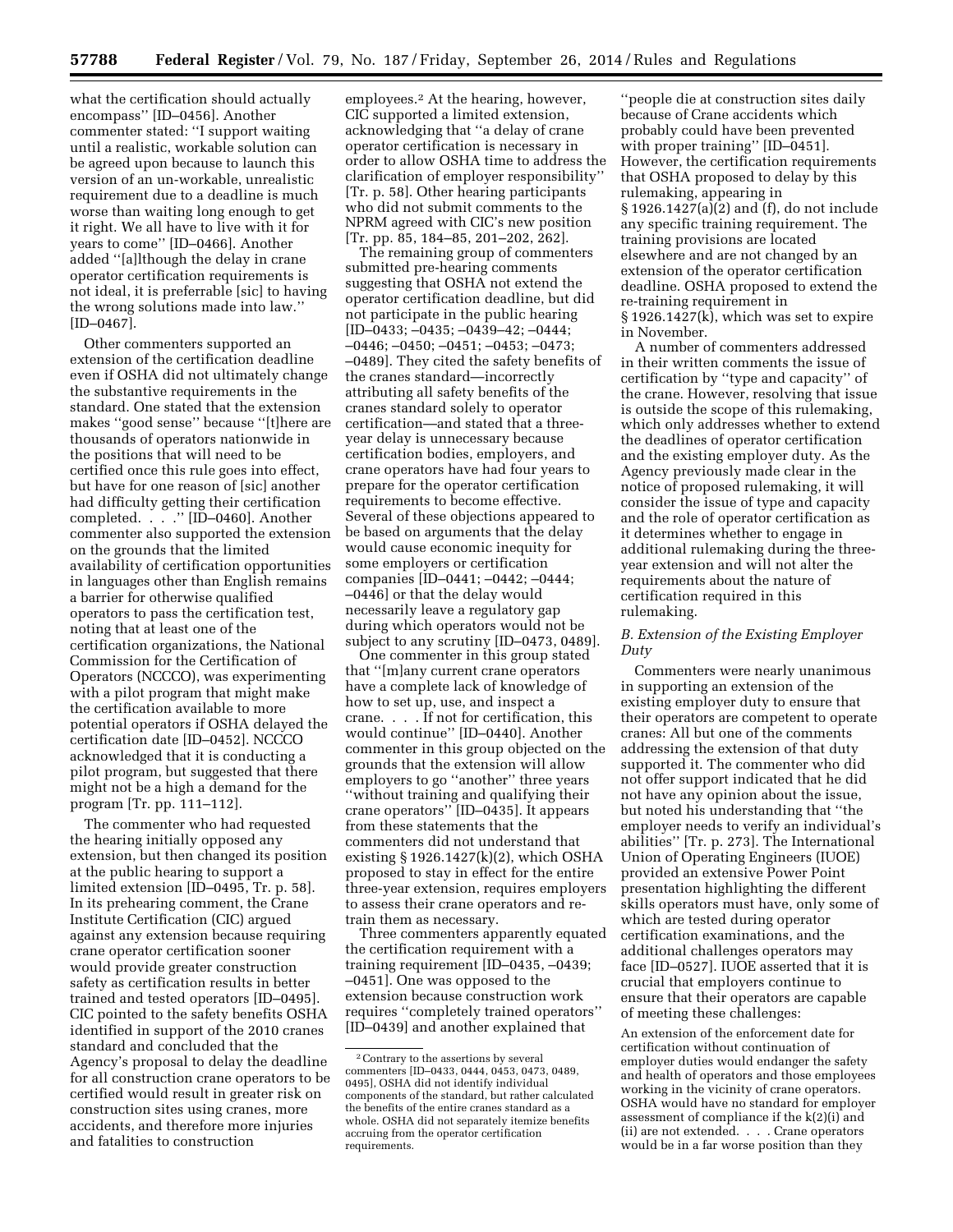what the certification should actually encompass'' [ID–0456]. Another commenter stated: ''I support waiting until a realistic, workable solution can be agreed upon because to launch this version of an un-workable, unrealistic requirement due to a deadline is much worse than waiting long enough to get it right. We all have to live with it for years to come'' [ID–0466]. Another added ''[a]lthough the delay in crane operator certification requirements is not ideal, it is preferrable [sic] to having the wrong solutions made into law.'' [ID–0467].

Other commenters supported an extension of the certification deadline even if OSHA did not ultimately change the substantive requirements in the standard. One stated that the extension makes ''good sense'' because ''[t]here are thousands of operators nationwide in the positions that will need to be certified once this rule goes into effect, but have for one reason of [sic] another had difficulty getting their certification completed. . . .'' [ID–0460]. Another commenter also supported the extension on the grounds that the limited availability of certification opportunities in languages other than English remains a barrier for otherwise qualified operators to pass the certification test, noting that at least one of the certification organizations, the National Commission for the Certification of Operators (NCCCO), was experimenting with a pilot program that might make the certification available to more potential operators if OSHA delayed the certification date [ID–0452]. NCCCO acknowledged that it is conducting a pilot program, but suggested that there might not be a high a demand for the program [Tr. pp. 111–112].

The commenter who had requested the hearing initially opposed any extension, but then changed its position at the public hearing to support a limited extension [ID–0495, Tr. p. 58]. In its prehearing comment, the Crane Institute Certification (CIC) argued against any extension because requiring crane operator certification sooner would provide greater construction safety as certification results in better trained and tested operators [ID–0495]. CIC pointed to the safety benefits OSHA identified in support of the 2010 cranes standard and concluded that the Agency's proposal to delay the deadline for all construction crane operators to be certified would result in greater risk on construction sites using cranes, more accidents, and therefore more injuries and fatalities to construction

employees.2 At the hearing, however, CIC supported a limited extension, acknowledging that ''a delay of crane operator certification is necessary in order to allow OSHA time to address the clarification of employer responsibility'' [Tr. p. 58]. Other hearing participants who did not submit comments to the NPRM agreed with CIC's new position [Tr. pp. 85, 184–85, 201–202, 262].

The remaining group of commenters submitted pre-hearing comments suggesting that OSHA not extend the operator certification deadline, but did not participate in the public hearing [ID–0433; –0435; –0439–42; –0444; –0446; –0450; –0451; –0453; –0473; –0489]. They cited the safety benefits of the cranes standard—incorrectly attributing all safety benefits of the cranes standard solely to operator certification—and stated that a threeyear delay is unnecessary because certification bodies, employers, and crane operators have had four years to prepare for the operator certification requirements to become effective. Several of these objections appeared to be based on arguments that the delay would cause economic inequity for some employers or certification companies [ID–0441; –0442; –0444; –0446] or that the delay would necessarily leave a regulatory gap during which operators would not be subject to any scrutiny [ID–0473, 0489].

One commenter in this group stated that ''[m]any current crane operators have a complete lack of knowledge of how to set up, use, and inspect a crane. . . . If not for certification, this would continue'' [ID–0440]. Another commenter in this group objected on the grounds that the extension will allow employers to go ''another'' three years ''without training and qualifying their crane operators'' [ID–0435]. It appears from these statements that the commenters did not understand that existing § 1926.1427(k)(2), which OSHA proposed to stay in effect for the entire three-year extension, requires employers to assess their crane operators and retrain them as necessary.

Three commenters apparently equated the certification requirement with a training requirement [ID–0435, –0439; –0451]. One was opposed to the extension because construction work requires ''completely trained operators'' [ID–0439] and another explained that

''people die at construction sites daily because of Crane accidents which probably could have been prevented with proper training'' [ID–0451]. However, the certification requirements that OSHA proposed to delay by this rulemaking, appearing in § 1926.1427(a)(2) and (f), do not include any specific training requirement. The training provisions are located elsewhere and are not changed by an extension of the operator certification deadline. OSHA proposed to extend the re-training requirement in § 1926.1427(k), which was set to expire in November.

A number of commenters addressed in their written comments the issue of certification by ''type and capacity'' of the crane. However, resolving that issue is outside the scope of this rulemaking, which only addresses whether to extend the deadlines of operator certification and the existing employer duty. As the Agency previously made clear in the notice of proposed rulemaking, it will consider the issue of type and capacity and the role of operator certification as it determines whether to engage in additional rulemaking during the threeyear extension and will not alter the requirements about the nature of certification required in this rulemaking.

# *B. Extension of the Existing Employer Duty*

Commenters were nearly unanimous in supporting an extension of the existing employer duty to ensure that their operators are competent to operate cranes: All but one of the comments addressing the extension of that duty supported it. The commenter who did not offer support indicated that he did not have any opinion about the issue, but noted his understanding that ''the employer needs to verify an individual's abilities'' [Tr. p. 273]. The International Union of Operating Engineers (IUOE) provided an extensive Power Point presentation highlighting the different skills operators must have, only some of which are tested during operator certification examinations, and the additional challenges operators may face [ID–0527]. IUOE asserted that it is crucial that employers continue to ensure that their operators are capable of meeting these challenges:

An extension of the enforcement date for certification without continuation of employer duties would endanger the safety and health of operators and those employees working in the vicinity of crane operators. OSHA would have no standard for employer assessment of compliance if the k(2)(i) and (ii) are not extended. . . . Crane operators would be in a far worse position than they

<sup>2</sup>Contrary to the assertions by several commenters [ID–0433, 0444, 0453, 0473, 0489, 0495], OSHA did not identify individual components of the standard, but rather calculated the benefits of the entire cranes standard as a whole. OSHA did not separately itemize benefits accruing from the operator certification requirements.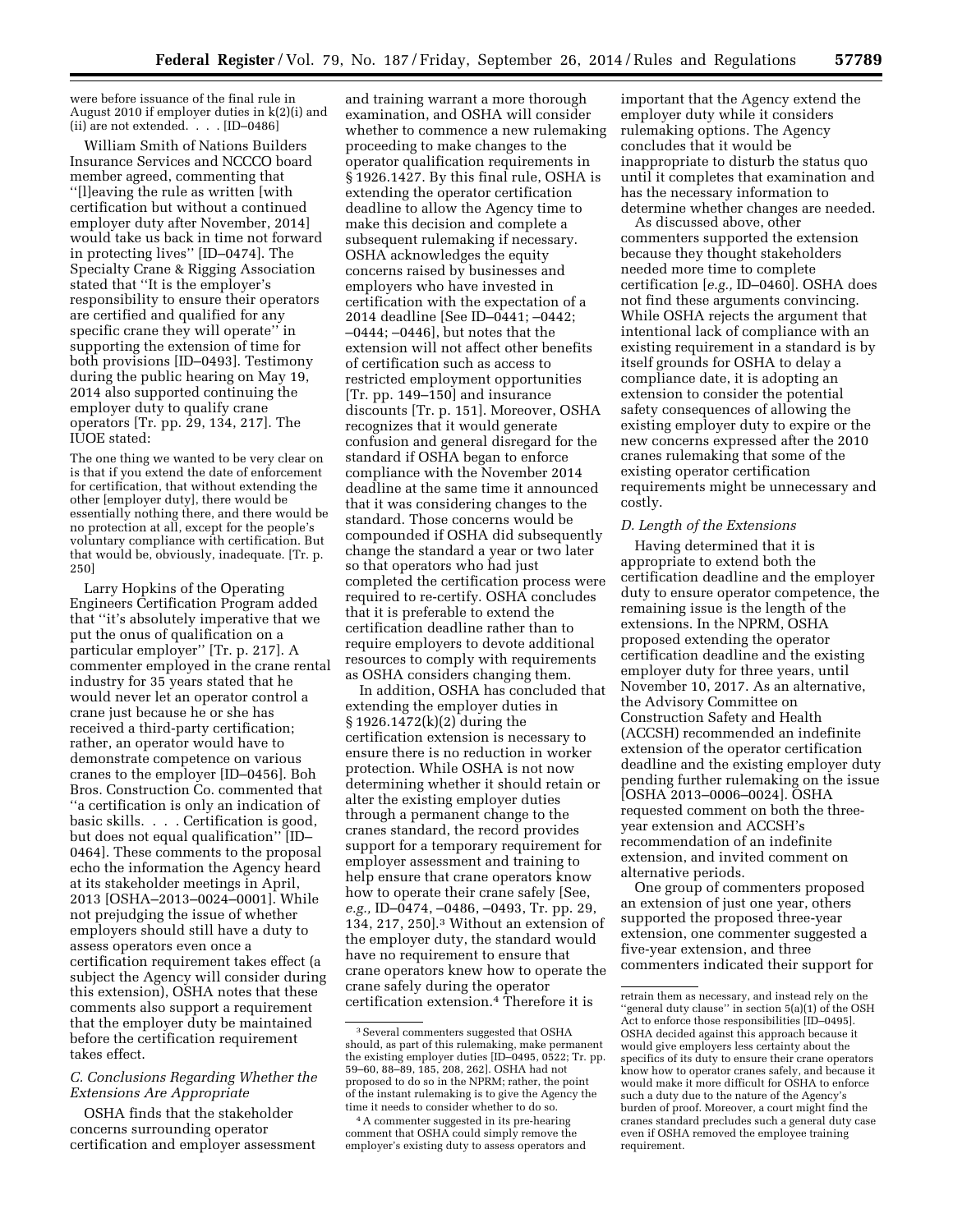were before issuance of the final rule in August 2010 if employer duties in k(2)(i) and (ii) are not extended. . . . [ID–0486]

William Smith of Nations Builders Insurance Services and NCCCO board member agreed, commenting that ''[l]eaving the rule as written [with certification but without a continued employer duty after November, 2014] would take us back in time not forward in protecting lives'' [ID–0474]. The Specialty Crane & Rigging Association stated that ''It is the employer's responsibility to ensure their operators are certified and qualified for any specific crane they will operate'' in supporting the extension of time for both provisions [ID–0493]. Testimony during the public hearing on May 19, 2014 also supported continuing the employer duty to qualify crane operators [Tr. pp. 29, 134, 217]. The IUOE stated:

The one thing we wanted to be very clear on is that if you extend the date of enforcement for certification, that without extending the other [employer duty], there would be essentially nothing there, and there would be no protection at all, except for the people's voluntary compliance with certification. But that would be, obviously, inadequate. [Tr. p. 250]

Larry Hopkins of the Operating Engineers Certification Program added that ''it's absolutely imperative that we put the onus of qualification on a particular employer'' [Tr. p. 217]. A commenter employed in the crane rental industry for 35 years stated that he would never let an operator control a crane just because he or she has received a third-party certification; rather, an operator would have to demonstrate competence on various cranes to the employer [ID–0456]. Boh Bros. Construction Co. commented that ''a certification is only an indication of basic skills. . . . Certification is good, but does not equal qualification'' [ID– 0464]. These comments to the proposal echo the information the Agency heard at its stakeholder meetings in April, 2013 [OSHA–2013–0024–0001]. While not prejudging the issue of whether employers should still have a duty to assess operators even once a certification requirement takes effect (a subject the Agency will consider during this extension), OSHA notes that these comments also support a requirement that the employer duty be maintained before the certification requirement takes effect.

#### *C. Conclusions Regarding Whether the Extensions Are Appropriate*

OSHA finds that the stakeholder concerns surrounding operator certification and employer assessment

and training warrant a more thorough examination, and OSHA will consider whether to commence a new rulemaking proceeding to make changes to the operator qualification requirements in § 1926.1427. By this final rule, OSHA is extending the operator certification deadline to allow the Agency time to make this decision and complete a subsequent rulemaking if necessary. OSHA acknowledges the equity concerns raised by businesses and employers who have invested in certification with the expectation of a 2014 deadline [See ID–0441; –0442; –0444; –0446], but notes that the extension will not affect other benefits of certification such as access to restricted employment opportunities [Tr. pp. 149–150] and insurance discounts [Tr. p. 151]. Moreover, OSHA recognizes that it would generate confusion and general disregard for the standard if OSHA began to enforce compliance with the November 2014 deadline at the same time it announced that it was considering changes to the standard. Those concerns would be compounded if OSHA did subsequently change the standard a year or two later so that operators who had just completed the certification process were required to re-certify. OSHA concludes that it is preferable to extend the certification deadline rather than to require employers to devote additional resources to comply with requirements as OSHA considers changing them.

In addition, OSHA has concluded that extending the employer duties in § 1926.1472(k)(2) during the certification extension is necessary to ensure there is no reduction in worker protection. While OSHA is not now determining whether it should retain or alter the existing employer duties through a permanent change to the cranes standard, the record provides support for a temporary requirement for employer assessment and training to help ensure that crane operators know how to operate their crane safely [See, *e.g.,* ID–0474, –0486, –0493, Tr. pp. 29, 134, 217, 250].3 Without an extension of the employer duty, the standard would have no requirement to ensure that crane operators knew how to operate the crane safely during the operator certification extension.4 Therefore it is

important that the Agency extend the employer duty while it considers rulemaking options. The Agency concludes that it would be inappropriate to disturb the status quo until it completes that examination and has the necessary information to determine whether changes are needed.

As discussed above, other commenters supported the extension because they thought stakeholders needed more time to complete certification [*e.g.,* ID–0460]. OSHA does not find these arguments convincing. While OSHA rejects the argument that intentional lack of compliance with an existing requirement in a standard is by itself grounds for OSHA to delay a compliance date, it is adopting an extension to consider the potential safety consequences of allowing the existing employer duty to expire or the new concerns expressed after the 2010 cranes rulemaking that some of the existing operator certification requirements might be unnecessary and costly.

#### *D. Length of the Extensions*

Having determined that it is appropriate to extend both the certification deadline and the employer duty to ensure operator competence, the remaining issue is the length of the extensions. In the NPRM, OSHA proposed extending the operator certification deadline and the existing employer duty for three years, until November 10, 2017. As an alternative, the Advisory Committee on Construction Safety and Health (ACCSH) recommended an indefinite extension of the operator certification deadline and the existing employer duty pending further rulemaking on the issue [OSHA 2013–0006–0024]. OSHA requested comment on both the threeyear extension and ACCSH's recommendation of an indefinite extension, and invited comment on alternative periods.

One group of commenters proposed an extension of just one year, others supported the proposed three-year extension, one commenter suggested a five-year extension, and three commenters indicated their support for

 $^{\rm 3}$  Several commenters suggested that OSHA should, as part of this rulemaking, make permanent the existing employer duties [ID–0495, 0522; Tr. pp. 59–60, 88–89, 185, 208, 262]. OSHA had not proposed to do so in the NPRM; rather, the point of the instant rulemaking is to give the Agency the time it needs to consider whether to do so.

<sup>4</sup>A commenter suggested in its pre-hearing comment that OSHA could simply remove the employer's existing duty to assess operators and

retrain them as necessary, and instead rely on the ''general duty clause'' in section 5(a)(1) of the OSH Act to enforce those responsibilities [ID–0495]. OSHA decided against this approach because it would give employers less certainty about the specifics of its duty to ensure their crane operators know how to operator cranes safely, and because it would make it more difficult for OSHA to enforce such a duty due to the nature of the Agency's burden of proof. Moreover, a court might find the cranes standard precludes such a general duty case even if OSHA removed the employee training requirement.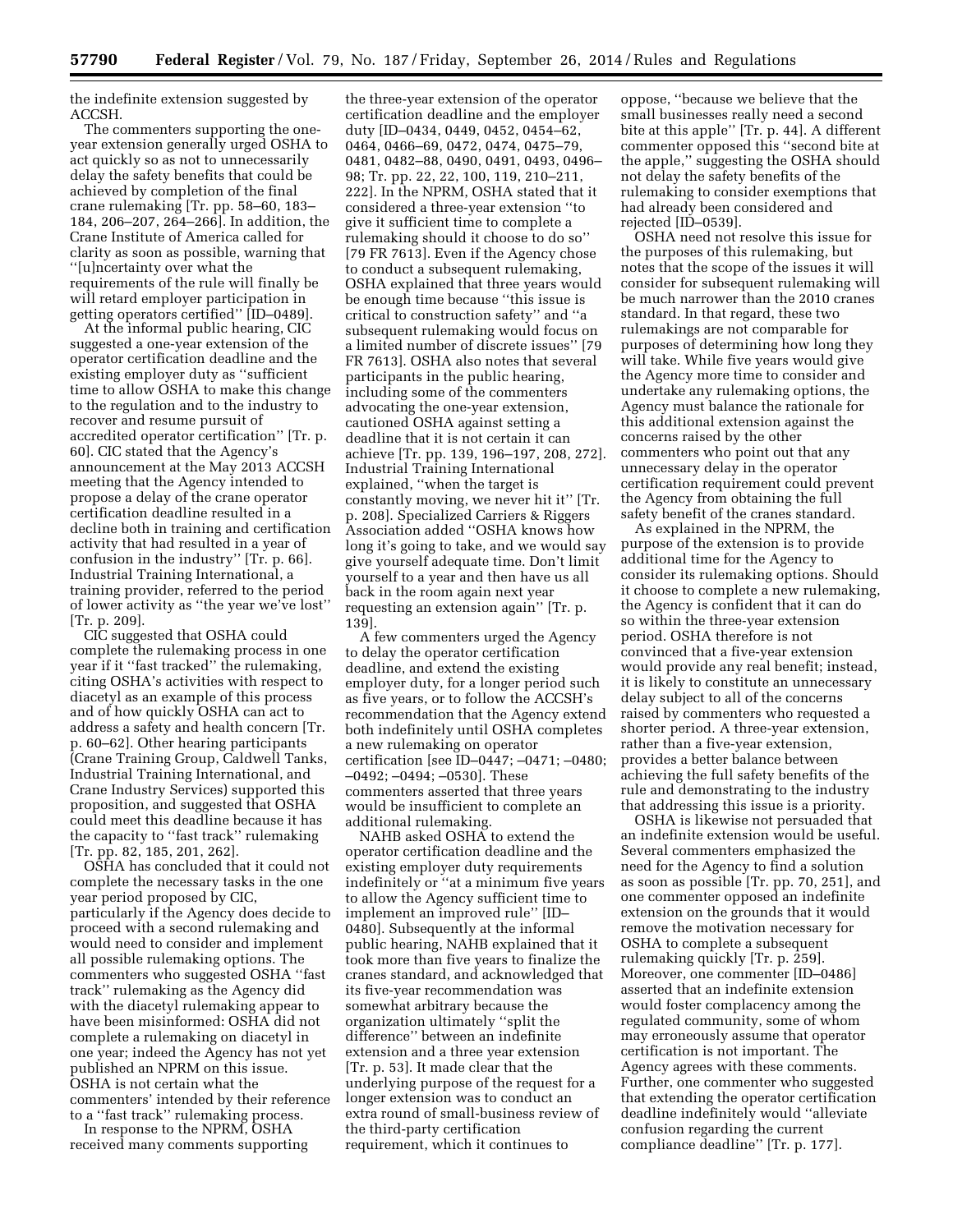the indefinite extension suggested by ACCSH.

The commenters supporting the oneyear extension generally urged OSHA to act quickly so as not to unnecessarily delay the safety benefits that could be achieved by completion of the final crane rulemaking [Tr. pp. 58–60, 183– 184, 206–207, 264–266]. In addition, the Crane Institute of America called for clarity as soon as possible, warning that ''[u]ncertainty over what the requirements of the rule will finally be will retard employer participation in getting operators certified'' [ID–0489].

At the informal public hearing, CIC suggested a one-year extension of the operator certification deadline and the existing employer duty as ''sufficient time to allow OSHA to make this change to the regulation and to the industry to recover and resume pursuit of accredited operator certification'' [Tr. p. 60]. CIC stated that the Agency's announcement at the May 2013 ACCSH meeting that the Agency intended to propose a delay of the crane operator certification deadline resulted in a decline both in training and certification activity that had resulted in a year of confusion in the industry'' [Tr. p. 66]. Industrial Training International, a training provider, referred to the period of lower activity as ''the year we've lost'' [Tr. p. 209].

CIC suggested that OSHA could complete the rulemaking process in one year if it ''fast tracked'' the rulemaking, citing OSHA's activities with respect to diacetyl as an example of this process and of how quickly OSHA can act to address a safety and health concern [Tr. p. 60–62]. Other hearing participants (Crane Training Group, Caldwell Tanks, Industrial Training International, and Crane Industry Services) supported this proposition, and suggested that OSHA could meet this deadline because it has the capacity to ''fast track'' rulemaking [Tr. pp. 82, 185, 201, 262].

OSHA has concluded that it could not complete the necessary tasks in the one year period proposed by CIC, particularly if the Agency does decide to proceed with a second rulemaking and would need to consider and implement all possible rulemaking options. The commenters who suggested OSHA ''fast track'' rulemaking as the Agency did with the diacetyl rulemaking appear to have been misinformed: OSHA did not complete a rulemaking on diacetyl in one year; indeed the Agency has not yet published an NPRM on this issue. OSHA is not certain what the commenters' intended by their reference to a ''fast track'' rulemaking process.

In response to the NPRM, OSHA received many comments supporting

the three-year extension of the operator certification deadline and the employer duty [ID–0434, 0449, 0452, 0454–62, 0464, 0466–69, 0472, 0474, 0475–79, 0481, 0482–88, 0490, 0491, 0493, 0496– 98; Tr. pp. 22, 22, 100, 119, 210–211, 222]. In the NPRM, OSHA stated that it considered a three-year extension ''to give it sufficient time to complete a rulemaking should it choose to do so'' [79 FR 7613]. Even if the Agency chose to conduct a subsequent rulemaking, OSHA explained that three years would be enough time because ''this issue is critical to construction safety'' and ''a subsequent rulemaking would focus on a limited number of discrete issues'' [79 FR 7613]. OSHA also notes that several participants in the public hearing, including some of the commenters advocating the one-year extension, cautioned OSHA against setting a deadline that it is not certain it can achieve [Tr. pp. 139, 196–197, 208, 272]. Industrial Training International explained, ''when the target is constantly moving, we never hit it'' [Tr. p. 208]. Specialized Carriers & Riggers Association added ''OSHA knows how long it's going to take, and we would say give yourself adequate time. Don't limit yourself to a year and then have us all back in the room again next year requesting an extension again'' [Tr. p. 139].

A few commenters urged the Agency to delay the operator certification deadline, and extend the existing employer duty, for a longer period such as five years, or to follow the ACCSH's recommendation that the Agency extend both indefinitely until OSHA completes a new rulemaking on operator certification [see ID–0447; –0471; –0480; –0492; –0494; –0530]. These commenters asserted that three years would be insufficient to complete an additional rulemaking.

NAHB asked OSHA to extend the operator certification deadline and the existing employer duty requirements indefinitely or ''at a minimum five years to allow the Agency sufficient time to implement an improved rule'' [ID– 0480]. Subsequently at the informal public hearing, NAHB explained that it took more than five years to finalize the cranes standard, and acknowledged that its five-year recommendation was somewhat arbitrary because the organization ultimately ''split the difference'' between an indefinite extension and a three year extension [Tr. p. 53]. It made clear that the underlying purpose of the request for a longer extension was to conduct an extra round of small-business review of the third-party certification requirement, which it continues to

oppose, ''because we believe that the small businesses really need a second bite at this apple'' [Tr. p. 44]. A different commenter opposed this ''second bite at the apple,'' suggesting the OSHA should not delay the safety benefits of the rulemaking to consider exemptions that had already been considered and rejected [ID–0539].

OSHA need not resolve this issue for the purposes of this rulemaking, but notes that the scope of the issues it will consider for subsequent rulemaking will be much narrower than the 2010 cranes standard. In that regard, these two rulemakings are not comparable for purposes of determining how long they will take. While five years would give the Agency more time to consider and undertake any rulemaking options, the Agency must balance the rationale for this additional extension against the concerns raised by the other commenters who point out that any unnecessary delay in the operator certification requirement could prevent the Agency from obtaining the full safety benefit of the cranes standard.

As explained in the NPRM, the purpose of the extension is to provide additional time for the Agency to consider its rulemaking options. Should it choose to complete a new rulemaking, the Agency is confident that it can do so within the three-year extension period. OSHA therefore is not convinced that a five-year extension would provide any real benefit; instead, it is likely to constitute an unnecessary delay subject to all of the concerns raised by commenters who requested a shorter period. A three-year extension, rather than a five-year extension, provides a better balance between achieving the full safety benefits of the rule and demonstrating to the industry that addressing this issue is a priority.

OSHA is likewise not persuaded that an indefinite extension would be useful. Several commenters emphasized the need for the Agency to find a solution as soon as possible [Tr. pp. 70, 251], and one commenter opposed an indefinite extension on the grounds that it would remove the motivation necessary for OSHA to complete a subsequent rulemaking quickly [Tr. p. 259]. Moreover, one commenter [ID–0486] asserted that an indefinite extension would foster complacency among the regulated community, some of whom may erroneously assume that operator certification is not important. The Agency agrees with these comments. Further, one commenter who suggested that extending the operator certification deadline indefinitely would ''alleviate confusion regarding the current compliance deadline'' [Tr. p. 177].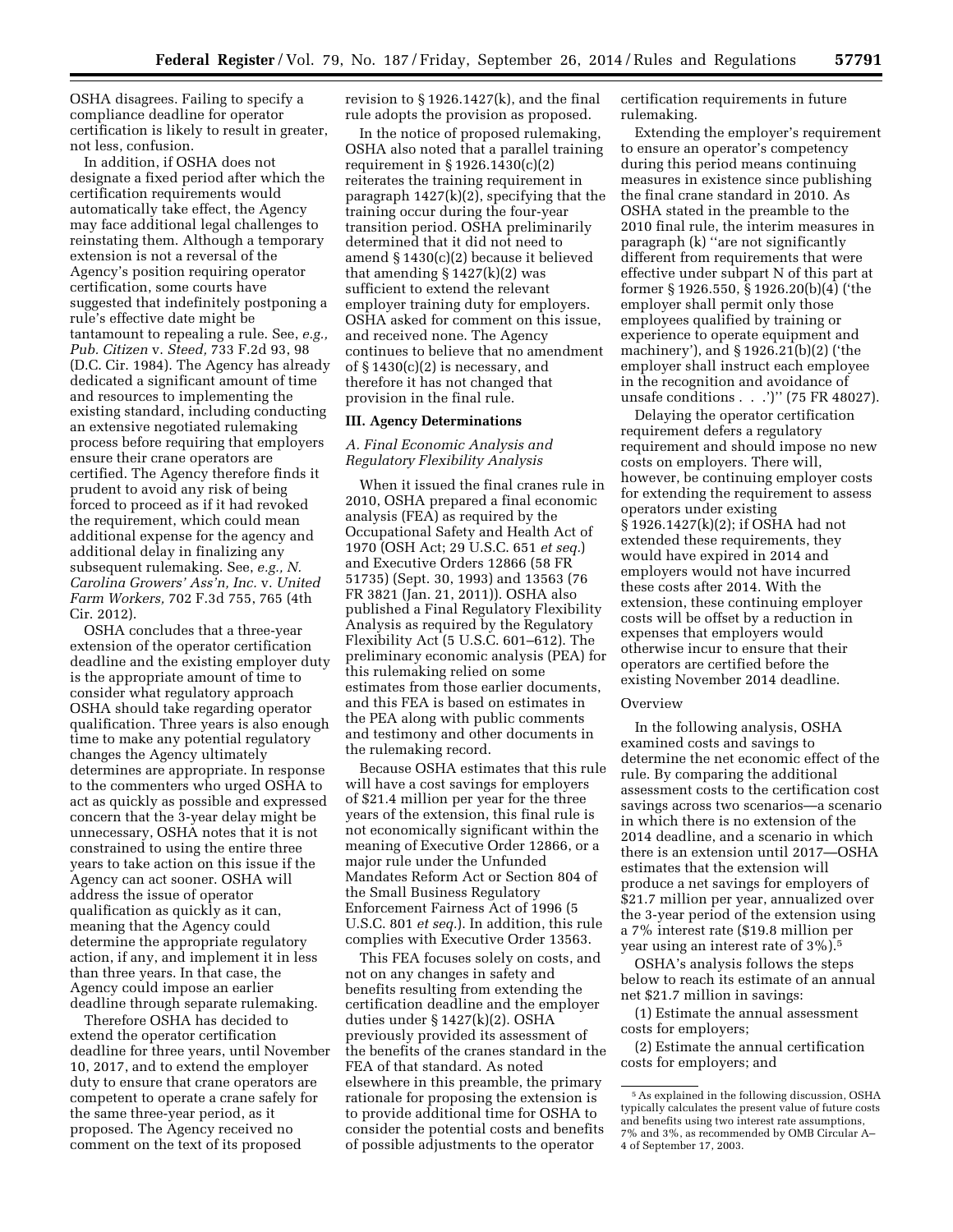OSHA disagrees. Failing to specify a compliance deadline for operator certification is likely to result in greater, not less, confusion.

In addition, if OSHA does not designate a fixed period after which the certification requirements would automatically take effect, the Agency may face additional legal challenges to reinstating them. Although a temporary extension is not a reversal of the Agency's position requiring operator certification, some courts have suggested that indefinitely postponing a rule's effective date might be tantamount to repealing a rule. See, *e.g., Pub. Citizen* v. *Steed,* 733 F.2d 93, 98 (D.C. Cir. 1984). The Agency has already dedicated a significant amount of time and resources to implementing the existing standard, including conducting an extensive negotiated rulemaking process before requiring that employers ensure their crane operators are certified. The Agency therefore finds it prudent to avoid any risk of being forced to proceed as if it had revoked the requirement, which could mean additional expense for the agency and additional delay in finalizing any subsequent rulemaking. See, *e.g., N. Carolina Growers' Ass'n, Inc.* v. *United Farm Workers,* 702 F.3d 755, 765 (4th Cir. 2012).

OSHA concludes that a three-year extension of the operator certification deadline and the existing employer duty is the appropriate amount of time to consider what regulatory approach OSHA should take regarding operator qualification. Three years is also enough time to make any potential regulatory changes the Agency ultimately determines are appropriate. In response to the commenters who urged OSHA to act as quickly as possible and expressed concern that the 3-year delay might be unnecessary, OSHA notes that it is not constrained to using the entire three years to take action on this issue if the Agency can act sooner. OSHA will address the issue of operator qualification as quickly as it can, meaning that the Agency could determine the appropriate regulatory action, if any, and implement it in less than three years. In that case, the Agency could impose an earlier deadline through separate rulemaking.

Therefore OSHA has decided to extend the operator certification deadline for three years, until November 10, 2017, and to extend the employer duty to ensure that crane operators are competent to operate a crane safely for the same three-year period, as it proposed. The Agency received no comment on the text of its proposed

revision to § 1926.1427(k), and the final rule adopts the provision as proposed.

In the notice of proposed rulemaking, OSHA also noted that a parallel training requirement in § 1926.1430(c)(2) reiterates the training requirement in paragraph 1427(k)(2), specifying that the training occur during the four-year transition period. OSHA preliminarily determined that it did not need to amend § 1430(c)(2) because it believed that amending  $\S 1427(k)(2)$  was sufficient to extend the relevant employer training duty for employers. OSHA asked for comment on this issue, and received none. The Agency continues to believe that no amendment of § 1430(c)(2) is necessary, and therefore it has not changed that provision in the final rule.

#### **III. Agency Determinations**

## *A. Final Economic Analysis and Regulatory Flexibility Analysis*

When it issued the final cranes rule in 2010, OSHA prepared a final economic analysis (FEA) as required by the Occupational Safety and Health Act of 1970 (OSH Act; 29 U.S.C. 651 *et seq.*) and Executive Orders 12866 (58 FR 51735) (Sept. 30, 1993) and 13563 (76 FR 3821 (Jan. 21, 2011)). OSHA also published a Final Regulatory Flexibility Analysis as required by the Regulatory Flexibility Act (5 U.S.C. 601–612). The preliminary economic analysis (PEA) for this rulemaking relied on some estimates from those earlier documents, and this FEA is based on estimates in the PEA along with public comments and testimony and other documents in the rulemaking record.

Because OSHA estimates that this rule will have a cost savings for employers of \$21.4 million per year for the three years of the extension, this final rule is not economically significant within the meaning of Executive Order 12866, or a major rule under the Unfunded Mandates Reform Act or Section 804 of the Small Business Regulatory Enforcement Fairness Act of 1996 (5 U.S.C. 801 *et seq.*). In addition, this rule complies with Executive Order 13563.

This FEA focuses solely on costs, and not on any changes in safety and benefits resulting from extending the certification deadline and the employer duties under § 1427(k)(2). OSHA previously provided its assessment of the benefits of the cranes standard in the FEA of that standard. As noted elsewhere in this preamble, the primary rationale for proposing the extension is to provide additional time for OSHA to consider the potential costs and benefits of possible adjustments to the operator

certification requirements in future rulemaking.

Extending the employer's requirement to ensure an operator's competency during this period means continuing measures in existence since publishing the final crane standard in 2010. As OSHA stated in the preamble to the 2010 final rule, the interim measures in paragraph (k) ''are not significantly different from requirements that were effective under subpart N of this part at former § 1926.550, § 1926.20(b)(4) ('the employer shall permit only those employees qualified by training or experience to operate equipment and machinery'), and § 1926.21(b)(2) ('the employer shall instruct each employee in the recognition and avoidance of unsafe conditions . . .')'' (75 FR 48027).

Delaying the operator certification requirement defers a regulatory requirement and should impose no new costs on employers. There will, however, be continuing employer costs for extending the requirement to assess operators under existing § 1926.1427(k)(2); if OSHA had not extended these requirements, they would have expired in 2014 and employers would not have incurred these costs after 2014. With the extension, these continuing employer costs will be offset by a reduction in expenses that employers would otherwise incur to ensure that their operators are certified before the existing November 2014 deadline.

#### Overview

In the following analysis, OSHA examined costs and savings to determine the net economic effect of the rule. By comparing the additional assessment costs to the certification cost savings across two scenarios—a scenario in which there is no extension of the 2014 deadline, and a scenario in which there is an extension until 2017—OSHA estimates that the extension will produce a net savings for employers of \$21.7 million per year, annualized over the 3-year period of the extension using a 7% interest rate (\$19.8 million per year using an interest rate of 3%).5

OSHA's analysis follows the steps below to reach its estimate of an annual net \$21.7 million in savings:

(1) Estimate the annual assessment costs for employers;

(2) Estimate the annual certification costs for employers; and

<sup>5</sup>As explained in the following discussion, OSHA typically calculates the present value of future costs and benefits using two interest rate assumptions, 7% and 3%, as recommended by OMB Circular A– 4 of September 17, 2003.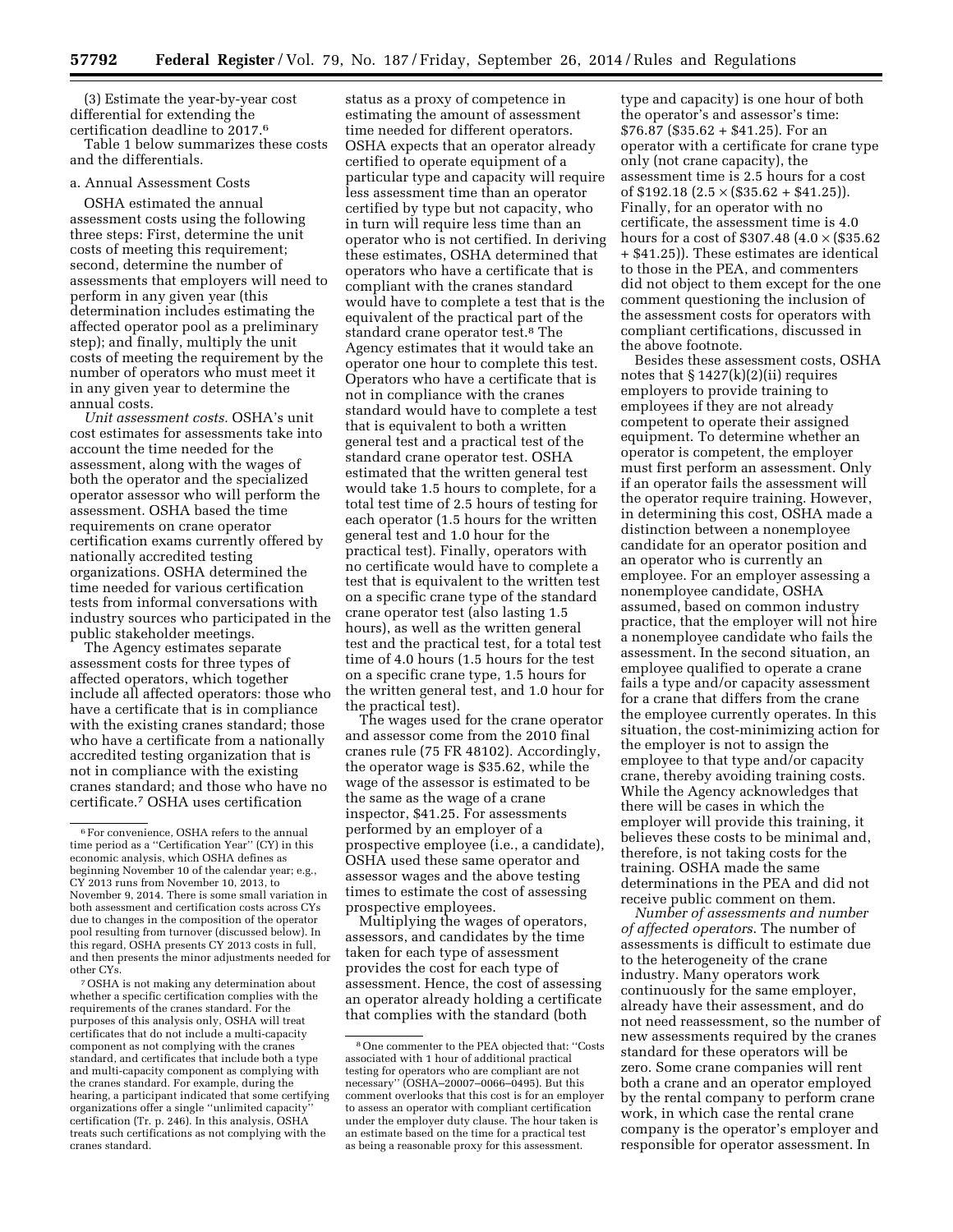(3) Estimate the year-by-year cost differential for extending the certification deadline to 2017.6

Table 1 below summarizes these costs and the differentials.

#### a. Annual Assessment Costs

OSHA estimated the annual assessment costs using the following three steps: First, determine the unit costs of meeting this requirement; second, determine the number of assessments that employers will need to perform in any given year (this determination includes estimating the affected operator pool as a preliminary step); and finally, multiply the unit costs of meeting the requirement by the number of operators who must meet it in any given year to determine the annual costs.

*Unit assessment costs.* OSHA's unit cost estimates for assessments take into account the time needed for the assessment, along with the wages of both the operator and the specialized operator assessor who will perform the assessment. OSHA based the time requirements on crane operator certification exams currently offered by nationally accredited testing organizations. OSHA determined the time needed for various certification tests from informal conversations with industry sources who participated in the public stakeholder meetings.

The Agency estimates separate assessment costs for three types of affected operators, which together include all affected operators: those who have a certificate that is in compliance with the existing cranes standard; those who have a certificate from a nationally accredited testing organization that is not in compliance with the existing cranes standard; and those who have no certificate.7 OSHA uses certification

7OSHA is not making any determination about whether a specific certification complies with the requirements of the cranes standard. For the purposes of this analysis only, OSHA will treat certificates that do not include a multi-capacity component as not complying with the cranes standard, and certificates that include both a type and multi-capacity component as complying with the cranes standard. For example, during the hearing, a participant indicated that some certifying organizations offer a single "unlimited capacity certification (Tr. p. 246). In this analysis, OSHA treats such certifications as not complying with the cranes standard.

status as a proxy of competence in estimating the amount of assessment time needed for different operators. OSHA expects that an operator already certified to operate equipment of a particular type and capacity will require less assessment time than an operator certified by type but not capacity, who in turn will require less time than an operator who is not certified. In deriving these estimates, OSHA determined that operators who have a certificate that is compliant with the cranes standard would have to complete a test that is the equivalent of the practical part of the standard crane operator test.<sup>8</sup> The Agency estimates that it would take an operator one hour to complete this test. Operators who have a certificate that is not in compliance with the cranes standard would have to complete a test that is equivalent to both a written general test and a practical test of the standard crane operator test. OSHA estimated that the written general test would take 1.5 hours to complete, for a total test time of 2.5 hours of testing for each operator (1.5 hours for the written general test and 1.0 hour for the practical test). Finally, operators with no certificate would have to complete a test that is equivalent to the written test on a specific crane type of the standard crane operator test (also lasting 1.5 hours), as well as the written general test and the practical test, for a total test time of 4.0 hours (1.5 hours for the test on a specific crane type, 1.5 hours for the written general test, and 1.0 hour for the practical test).

The wages used for the crane operator and assessor come from the 2010 final cranes rule (75 FR 48102). Accordingly, the operator wage is \$35.62, while the wage of the assessor is estimated to be the same as the wage of a crane inspector, \$41.25. For assessments performed by an employer of a prospective employee (i.e., a candidate), OSHA used these same operator and assessor wages and the above testing times to estimate the cost of assessing prospective employees.

Multiplying the wages of operators, assessors, and candidates by the time taken for each type of assessment provides the cost for each type of assessment. Hence, the cost of assessing an operator already holding a certificate that complies with the standard (both

type and capacity) is one hour of both the operator's and assessor's time: \$76.87 (\$35.62 + \$41.25). For an operator with a certificate for crane type only (not crane capacity), the assessment time is 2.5 hours for a cost of  $$192.18$   $(2.5 \times ($35.62 + $41.25))$ . Finally, for an operator with no certificate, the assessment time is 4.0 hours for a cost of \$307.48  $(4.0 \times$  (\$35.62) + \$41.25)). These estimates are identical to those in the PEA, and commenters did not object to them except for the one comment questioning the inclusion of the assessment costs for operators with compliant certifications, discussed in the above footnote.

Besides these assessment costs, OSHA notes that  $\S 1427(k)(2)(ii)$  requires employers to provide training to employees if they are not already competent to operate their assigned equipment. To determine whether an operator is competent, the employer must first perform an assessment. Only if an operator fails the assessment will the operator require training. However, in determining this cost, OSHA made a distinction between a nonemployee candidate for an operator position and an operator who is currently an employee. For an employer assessing a nonemployee candidate, OSHA assumed, based on common industry practice, that the employer will not hire a nonemployee candidate who fails the assessment. In the second situation, an employee qualified to operate a crane fails a type and/or capacity assessment for a crane that differs from the crane the employee currently operates. In this situation, the cost-minimizing action for the employer is not to assign the employee to that type and/or capacity crane, thereby avoiding training costs. While the Agency acknowledges that there will be cases in which the employer will provide this training, it believes these costs to be minimal and, therefore, is not taking costs for the training. OSHA made the same determinations in the PEA and did not receive public comment on them.

*Number of assessments and number of affected operators*. The number of assessments is difficult to estimate due to the heterogeneity of the crane industry. Many operators work continuously for the same employer, already have their assessment, and do not need reassessment, so the number of new assessments required by the cranes standard for these operators will be zero. Some crane companies will rent both a crane and an operator employed by the rental company to perform crane work, in which case the rental crane company is the operator's employer and responsible for operator assessment. In

<sup>6</sup>For convenience, OSHA refers to the annual time period as a ''Certification Year'' (CY) in this economic analysis, which OSHA defines as beginning November 10 of the calendar year; e.g., CY 2013 runs from November 10, 2013, to November 9, 2014. There is some small variation in both assessment and certification costs across CYs due to changes in the composition of the operator pool resulting from turnover (discussed below). In this regard, OSHA presents CY 2013 costs in full, and then presents the minor adjustments needed for other CYs.

<sup>8</sup>One commenter to the PEA objected that: ''Costs associated with 1 hour of additional practical testing for operators who are compliant are not necessary'' (OSHA–20007–0066–0495). But this comment overlooks that this cost is for an employer to assess an operator with compliant certification under the employer duty clause. The hour taken is an estimate based on the time for a practical test as being a reasonable proxy for this assessment.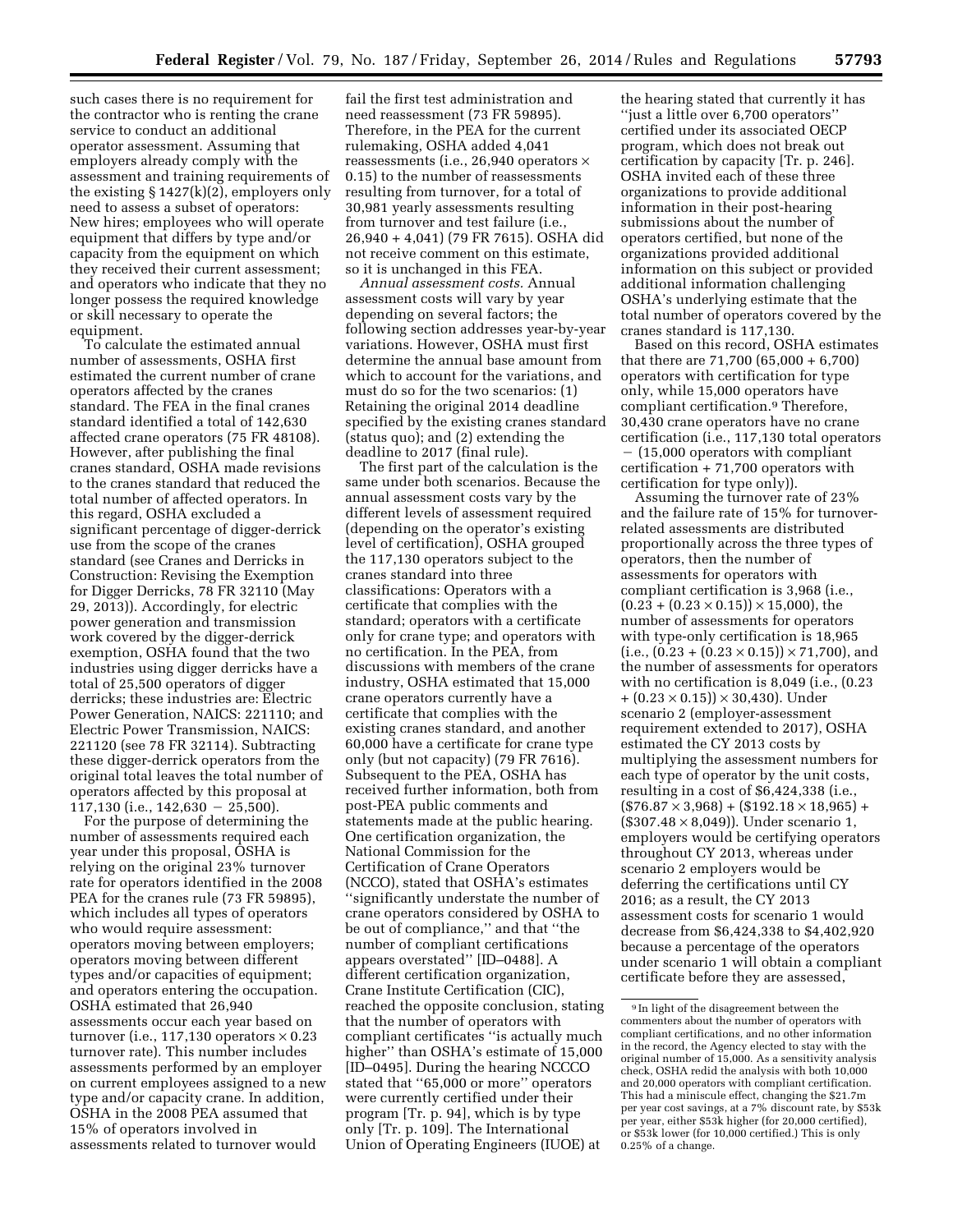such cases there is no requirement for the contractor who is renting the crane service to conduct an additional operator assessment. Assuming that employers already comply with the assessment and training requirements of the existing  $\S 1427(k)(2)$ , employers only need to assess a subset of operators: New hires; employees who will operate equipment that differs by type and/or capacity from the equipment on which they received their current assessment; and operators who indicate that they no longer possess the required knowledge or skill necessary to operate the equipment.

To calculate the estimated annual number of assessments, OSHA first estimated the current number of crane operators affected by the cranes standard. The FEA in the final cranes standard identified a total of 142,630 affected crane operators (75 FR 48108). However, after publishing the final cranes standard, OSHA made revisions to the cranes standard that reduced the total number of affected operators. In this regard, OSHA excluded a significant percentage of digger-derrick use from the scope of the cranes standard (see Cranes and Derricks in Construction: Revising the Exemption for Digger Derricks, 78 FR 32110 (May 29, 2013)). Accordingly, for electric power generation and transmission work covered by the digger-derrick exemption, OSHA found that the two industries using digger derricks have a total of 25,500 operators of digger derricks; these industries are: Electric Power Generation, NAICS: 221110; and Electric Power Transmission, NAICS: 221120 (see 78 FR 32114). Subtracting these digger-derrick operators from the original total leaves the total number of operators affected by this proposal at  $117,130$  (i.e.,  $142,630 - 25,500$ ).

For the purpose of determining the number of assessments required each year under this proposal, OSHA is relying on the original 23% turnover rate for operators identified in the 2008 PEA for the cranes rule (73 FR 59895), which includes all types of operators who would require assessment: operators moving between employers; operators moving between different types and/or capacities of equipment; and operators entering the occupation. OSHA estimated that 26,940 assessments occur each year based on turnover (i.e., 117,130 operators  $\times$  0.23 turnover rate). This number includes assessments performed by an employer on current employees assigned to a new type and/or capacity crane. In addition, OSHA in the 2008 PEA assumed that 15% of operators involved in assessments related to turnover would

fail the first test administration and need reassessment (73 FR 59895). Therefore, in the PEA for the current rulemaking, OSHA added 4,041 reassessments (i.e., 26,940 operators × 0.15) to the number of reassessments resulting from turnover, for a total of 30,981 yearly assessments resulting from turnover and test failure (i.e., 26,940 + 4,041) (79 FR 7615). OSHA did not receive comment on this estimate, so it is unchanged in this FEA.

*Annual assessment costs.* Annual assessment costs will vary by year depending on several factors; the following section addresses year-by-year variations. However, OSHA must first determine the annual base amount from which to account for the variations, and must do so for the two scenarios: (1) Retaining the original 2014 deadline specified by the existing cranes standard (status quo); and (2) extending the deadline to 2017 (final rule).

The first part of the calculation is the same under both scenarios. Because the annual assessment costs vary by the different levels of assessment required (depending on the operator's existing level of certification), OSHA grouped the 117,130 operators subject to the cranes standard into three classifications: Operators with a certificate that complies with the standard; operators with a certificate only for crane type; and operators with no certification. In the PEA, from discussions with members of the crane industry, OSHA estimated that 15,000 crane operators currently have a certificate that complies with the existing cranes standard, and another 60,000 have a certificate for crane type only (but not capacity) (79 FR 7616). Subsequent to the PEA, OSHA has received further information, both from post-PEA public comments and statements made at the public hearing. One certification organization, the National Commission for the Certification of Crane Operators (NCCO), stated that OSHA's estimates ''significantly understate the number of crane operators considered by OSHA to be out of compliance,'' and that ''the number of compliant certifications appears overstated'' [ID–0488]. A different certification organization, Crane Institute Certification (CIC), reached the opposite conclusion, stating that the number of operators with compliant certificates ''is actually much higher'' than OSHA's estimate of 15,000 [ID–0495]. During the hearing NCCCO stated that ''65,000 or more'' operators were currently certified under their program [Tr. p. 94], which is by type only [Tr. p. 109]. The International Union of Operating Engineers (IUOE) at

the hearing stated that currently it has ''just a little over 6,700 operators'' certified under its associated OECP program, which does not break out certification by capacity [Tr. p. 246]. OSHA invited each of these three organizations to provide additional information in their post-hearing submissions about the number of operators certified, but none of the organizations provided additional information on this subject or provided additional information challenging OSHA's underlying estimate that the total number of operators covered by the cranes standard is 117,130.

Based on this record, OSHA estimates that there are 71,700 (65,000 + 6,700) operators with certification for type only, while 15,000 operators have compliant certification.9 Therefore, 30,430 crane operators have no crane certification (i.e., 117,130 total operators  $-$  (15,000 operators with compliant certification + 71,700 operators with certification for type only)).

Assuming the turnover rate of 23% and the failure rate of 15% for turnoverrelated assessments are distributed proportionally across the three types of operators, then the number of assessments for operators with compliant certification is 3,968 (i.e.,  $(0.23 + (0.23 \times 0.15)) \times 15{,}000$ , the number of assessments for operators with type-only certification is 18,965  $(i.e., (0.23 + (0.23 \times 0.15)) \times 71,700)$ , and the number of assessments for operators with no certification is 8,049 (i.e., (0.23  $+(0.23\times0.15))\times30,430$ . Under scenario 2 (employer-assessment requirement extended to 2017), OSHA estimated the CY 2013 costs by multiplying the assessment numbers for each type of operator by the unit costs, resulting in a cost of \$6,424,338 (i.e.,  $($76.87 \times 3,968) + ($192.18 \times 18,965) +$  $($307.48 \times 8,049)$ . Under scenario 1, employers would be certifying operators throughout CY 2013, whereas under scenario 2 employers would be deferring the certifications until CY 2016; as a result, the CY 2013 assessment costs for scenario 1 would decrease from \$6,424,338 to \$4,402,920 because a percentage of the operators under scenario 1 will obtain a compliant certificate before they are assessed,

<sup>9</sup> In light of the disagreement between the commenters about the number of operators with compliant certifications, and no other information in the record, the Agency elected to stay with the original number of 15,000. As a sensitivity analysis check, OSHA redid the analysis with both 10,000 and 20,000 operators with compliant certification. This had a miniscule effect, changing the \$21.7m per year cost savings, at a 7% discount rate, by \$53k per year, either \$53k higher (for 20,000 certified), or \$53k lower (for 10,000 certified.) This is only 0.25% of a change.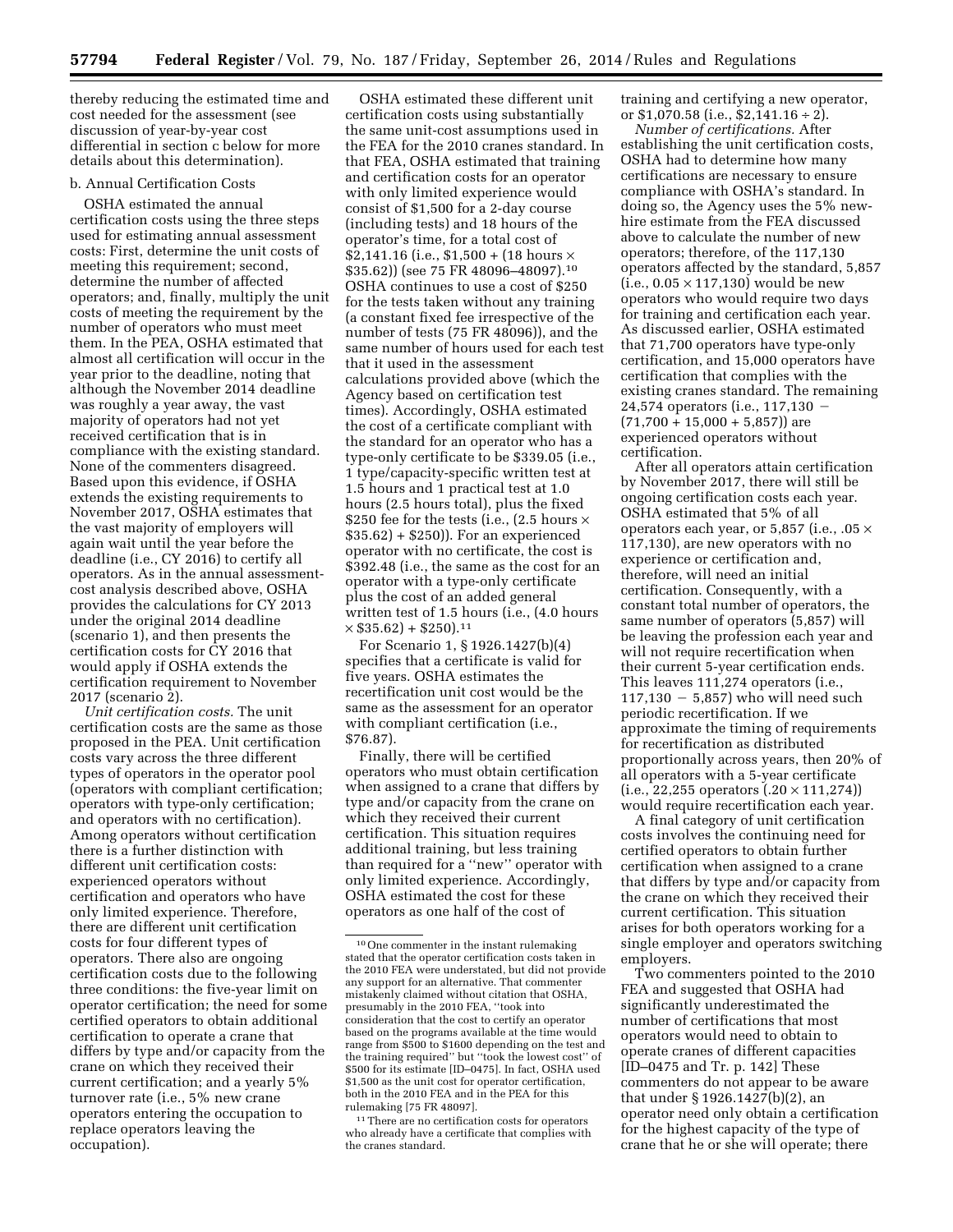thereby reducing the estimated time and cost needed for the assessment (see discussion of year-by-year cost differential in section c below for more details about this determination).

# b. Annual Certification Costs

OSHA estimated the annual certification costs using the three steps used for estimating annual assessment costs: First, determine the unit costs of meeting this requirement; second, determine the number of affected operators; and, finally, multiply the unit costs of meeting the requirement by the number of operators who must meet them. In the PEA, OSHA estimated that almost all certification will occur in the year prior to the deadline, noting that although the November 2014 deadline was roughly a year away, the vast majority of operators had not yet received certification that is in compliance with the existing standard. None of the commenters disagreed. Based upon this evidence, if OSHA extends the existing requirements to November 2017, OSHA estimates that the vast majority of employers will again wait until the year before the deadline (i.e., CY 2016) to certify all operators. As in the annual assessmentcost analysis described above, OSHA provides the calculations for CY 2013 under the original 2014 deadline (scenario 1), and then presents the certification costs for CY 2016 that would apply if OSHA extends the certification requirement to November 2017 (scenario 2).

*Unit certification costs.* The unit certification costs are the same as those proposed in the PEA. Unit certification costs vary across the three different types of operators in the operator pool (operators with compliant certification; operators with type-only certification; and operators with no certification). Among operators without certification there is a further distinction with different unit certification costs: experienced operators without certification and operators who have only limited experience. Therefore, there are different unit certification costs for four different types of operators. There also are ongoing certification costs due to the following three conditions: the five-year limit on operator certification; the need for some certified operators to obtain additional certification to operate a crane that differs by type and/or capacity from the crane on which they received their current certification; and a yearly 5% turnover rate (i.e., 5% new crane operators entering the occupation to replace operators leaving the occupation).

OSHA estimated these different unit certification costs using substantially the same unit-cost assumptions used in the FEA for the 2010 cranes standard. In that FEA, OSHA estimated that training and certification costs for an operator with only limited experience would consist of \$1,500 for a 2-day course (including tests) and 18 hours of the operator's time, for a total cost of \$2,141.16 (i.e., \$1,500 + (18 hours  $\times$ \$35.62)) (see 75 FR 48096–48097).10 OSHA continues to use a cost of \$250 for the tests taken without any training (a constant fixed fee irrespective of the number of tests (75 FR 48096)), and the same number of hours used for each test that it used in the assessment calculations provided above (which the Agency based on certification test times). Accordingly, OSHA estimated the cost of a certificate compliant with the standard for an operator who has a type-only certificate to be \$339.05 (i.e., 1 type/capacity-specific written test at 1.5 hours and 1 practical test at 1.0 hours (2.5 hours total), plus the fixed \$250 fee for the tests (i.e., (2.5 hours  $\times$ \$35.62) + \$250)). For an experienced operator with no certificate, the cost is \$392.48 (i.e., the same as the cost for an operator with a type-only certificate plus the cost of an added general written test of 1.5 hours (i.e., (4.0 hours  $\times$  \$35.62) + \$250).<sup>11</sup>

For Scenario 1, § 1926.1427(b)(4) specifies that a certificate is valid for five years. OSHA estimates the recertification unit cost would be the same as the assessment for an operator with compliant certification (i.e., \$76.87).

Finally, there will be certified operators who must obtain certification when assigned to a crane that differs by type and/or capacity from the crane on which they received their current certification. This situation requires additional training, but less training than required for a ''new'' operator with only limited experience. Accordingly, OSHA estimated the cost for these operators as one half of the cost of

training and certifying a new operator, or  $$1,070.58$  (i.e.,  $$2,141.16 \div 2$ ).

*Number of certifications.* After establishing the unit certification costs, OSHA had to determine how many certifications are necessary to ensure compliance with OSHA's standard. In doing so, the Agency uses the 5% newhire estimate from the FEA discussed above to calculate the number of new operators; therefore, of the 117,130 operators affected by the standard, 5,857  $(i.e., 0.05 \times 117,130)$  would be new operators who would require two days for training and certification each year. As discussed earlier, OSHA estimated that 71,700 operators have type-only certification, and 15,000 operators have certification that complies with the existing cranes standard. The remaining 24,574 operators (i.e., 117,130 - $(71,700 + 15,000 + 5,857)$  are experienced operators without certification.

After all operators attain certification by November 2017, there will still be ongoing certification costs each year. OSHA estimated that 5% of all operators each year, or 5,857 (i.e., .05 × 117,130), are new operators with no experience or certification and, therefore, will need an initial certification. Consequently, with a constant total number of operators, the same number of operators (5,857) will be leaving the profession each year and will not require recertification when their current 5-year certification ends. This leaves 111,274 operators (i.e.,  $117,130 - 5,857$  who will need such periodic recertification. If we approximate the timing of requirements for recertification as distributed proportionally across years, then 20% of all operators with a 5-year certificate  $(i.e., 22,255 operators (.20 \times 111,274))$ would require recertification each year.

A final category of unit certification costs involves the continuing need for certified operators to obtain further certification when assigned to a crane that differs by type and/or capacity from the crane on which they received their current certification. This situation arises for both operators working for a single employer and operators switching employers.

Two commenters pointed to the 2010 FEA and suggested that OSHA had significantly underestimated the number of certifications that most operators would need to obtain to operate cranes of different capacities [ID–0475 and Tr. p. 142] These commenters do not appear to be aware that under § 1926.1427(b)(2), an operator need only obtain a certification for the highest capacity of the type of crane that he or she will operate; there

<sup>10</sup>One commenter in the instant rulemaking stated that the operator certification costs taken in the 2010 FEA were understated, but did not provide any support for an alternative. That commenter mistakenly claimed without citation that OSHA, presumably in the 2010 FEA, ''took into consideration that the cost to certify an operator based on the programs available at the time would range from \$500 to \$1600 depending on the test and the training required'' but ''took the lowest cost'' of \$500 for its estimate [ID–0475]. In fact, OSHA used \$1,500 as the unit cost for operator certification, both in the 2010 FEA and in the PEA for this rulemaking [75 FR 48097].

<sup>&</sup>lt;sup>11</sup> There are no certification costs for operators who already have a certificate that complies with the cranes standard.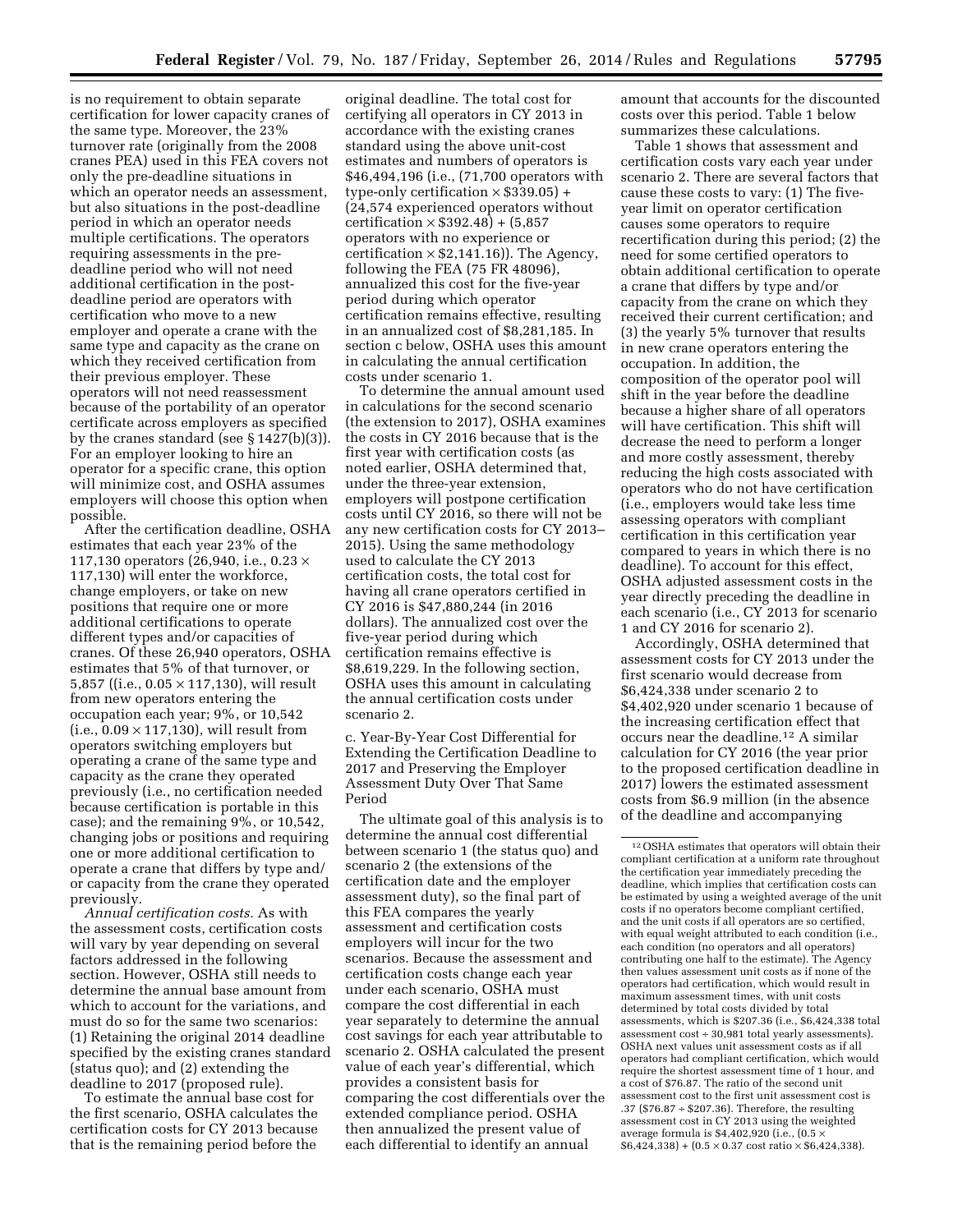is no requirement to obtain separate certification for lower capacity cranes of the same type. Moreover, the 23% turnover rate (originally from the 2008 cranes PEA) used in this FEA covers not only the pre-deadline situations in which an operator needs an assessment, but also situations in the post-deadline period in which an operator needs multiple certifications. The operators requiring assessments in the predeadline period who will not need additional certification in the postdeadline period are operators with certification who move to a new employer and operate a crane with the same type and capacity as the crane on which they received certification from their previous employer. These operators will not need reassessment because of the portability of an operator certificate across employers as specified by the cranes standard (see § 1427(b)(3)). For an employer looking to hire an operator for a specific crane, this option will minimize cost, and OSHA assumes employers will choose this option when possible.

After the certification deadline, OSHA estimates that each year 23% of the 117,130 operators (26,940, i.e., 0.23 × 117,130) will enter the workforce, change employers, or take on new positions that require one or more additional certifications to operate different types and/or capacities of cranes. Of these 26,940 operators, OSHA estimates that 5% of that turnover, or 5,857 ((i.e., 0.05 × 117,130), will result from new operators entering the occupation each year; 9%, or 10,542  $(i.e., 0.09 \times 117,130)$ , will result from operators switching employers but operating a crane of the same type and capacity as the crane they operated previously (i.e., no certification needed because certification is portable in this case); and the remaining 9%, or 10,542, changing jobs or positions and requiring one or more additional certification to operate a crane that differs by type and/ or capacity from the crane they operated previously.

*Annual certification costs.* As with the assessment costs, certification costs will vary by year depending on several factors addressed in the following section. However, OSHA still needs to determine the annual base amount from which to account for the variations, and must do so for the same two scenarios: (1) Retaining the original 2014 deadline specified by the existing cranes standard (status quo); and (2) extending the deadline to 2017 (proposed rule).

To estimate the annual base cost for the first scenario, OSHA calculates the certification costs for CY 2013 because that is the remaining period before the

original deadline. The total cost for certifying all operators in CY 2013 in accordance with the existing cranes standard using the above unit-cost estimates and numbers of operators is \$46,494,196 (i.e., (71,700 operators with type-only certification  $\times$  \$339.05) + (24,574 experienced operators without certification  $\times$  \$392.48) + (5,857 operators with no experience or certification  $\times$  \$2,141.16)). The Agency, following the FEA (75 FR 48096), annualized this cost for the five-year period during which operator certification remains effective, resulting in an annualized cost of \$8,281,185. In section c below, OSHA uses this amount in calculating the annual certification costs under scenario 1.

To determine the annual amount used in calculations for the second scenario (the extension to 2017), OSHA examines the costs in CY 2016 because that is the first year with certification costs (as noted earlier, OSHA determined that, under the three-year extension, employers will postpone certification costs until CY 2016, so there will not be any new certification costs for CY 2013– 2015). Using the same methodology used to calculate the CY 2013 certification costs, the total cost for having all crane operators certified in CY 2016 is \$47,880,244 (in 2016 dollars). The annualized cost over the five-year period during which certification remains effective is \$8,619,229. In the following section, OSHA uses this amount in calculating the annual certification costs under scenario 2.

c. Year-By-Year Cost Differential for Extending the Certification Deadline to 2017 and Preserving the Employer Assessment Duty Over That Same Period

The ultimate goal of this analysis is to determine the annual cost differential between scenario 1 (the status quo) and scenario 2 (the extensions of the certification date and the employer assessment duty), so the final part of this FEA compares the yearly assessment and certification costs employers will incur for the two scenarios. Because the assessment and certification costs change each year under each scenario, OSHA must compare the cost differential in each year separately to determine the annual cost savings for each year attributable to scenario 2. OSHA calculated the present value of each year's differential, which provides a consistent basis for comparing the cost differentials over the extended compliance period. OSHA then annualized the present value of each differential to identify an annual

amount that accounts for the discounted costs over this period. Table 1 below summarizes these calculations.

Table 1 shows that assessment and certification costs vary each year under scenario 2. There are several factors that cause these costs to vary: (1) The fiveyear limit on operator certification causes some operators to require recertification during this period; (2) the need for some certified operators to obtain additional certification to operate a crane that differs by type and/or capacity from the crane on which they received their current certification; and (3) the yearly 5% turnover that results in new crane operators entering the occupation. In addition, the composition of the operator pool will shift in the year before the deadline because a higher share of all operators will have certification. This shift will decrease the need to perform a longer and more costly assessment, thereby reducing the high costs associated with operators who do not have certification (i.e., employers would take less time assessing operators with compliant certification in this certification year compared to years in which there is no deadline). To account for this effect, OSHA adjusted assessment costs in the year directly preceding the deadline in each scenario (i.e., CY 2013 for scenario 1 and CY 2016 for scenario 2).

Accordingly, OSHA determined that assessment costs for CY 2013 under the first scenario would decrease from \$6,424,338 under scenario 2 to \$4,402,920 under scenario 1 because of the increasing certification effect that occurs near the deadline.12 A similar calculation for CY 2016 (the year prior to the proposed certification deadline in 2017) lowers the estimated assessment costs from \$6.9 million (in the absence of the deadline and accompanying

 $^{\rm 12}\, {\rm OSHA}$  estimates that operators will obtain their compliant certification at a uniform rate throughout the certification year immediately preceding the deadline, which implies that certification costs can be estimated by using a weighted average of the unit costs if no operators become compliant certified, and the unit costs if all operators are so certified, with equal weight attributed to each condition (i.e., each condition (no operators and all operators) contributing one half to the estimate). The Agency then values assessment unit costs as if none of the operators had certification, which would result in maximum assessment times, with unit costs determined by total costs divided by total assessments, which is \$207.36 (i.e., \$6,424,338 total assessment cost ÷ 30,981 total yearly assessments). OSHA next values unit assessment costs as if all operators had compliant certification, which would require the shortest assessment time of 1 hour, and a cost of \$76.87. The ratio of the second unit assessment cost to the first unit assessment cost is .37 (\$76.87 ÷ \$207.36). Therefore, the resulting assessment cost in CY 2013 using the weighted average formula is \$4,402,920 (i.e., (0.5 ×  $$6,424,338$  +  $(0.5 \times 0.37 \text{ cost ratio} \times $6,424,338)$ .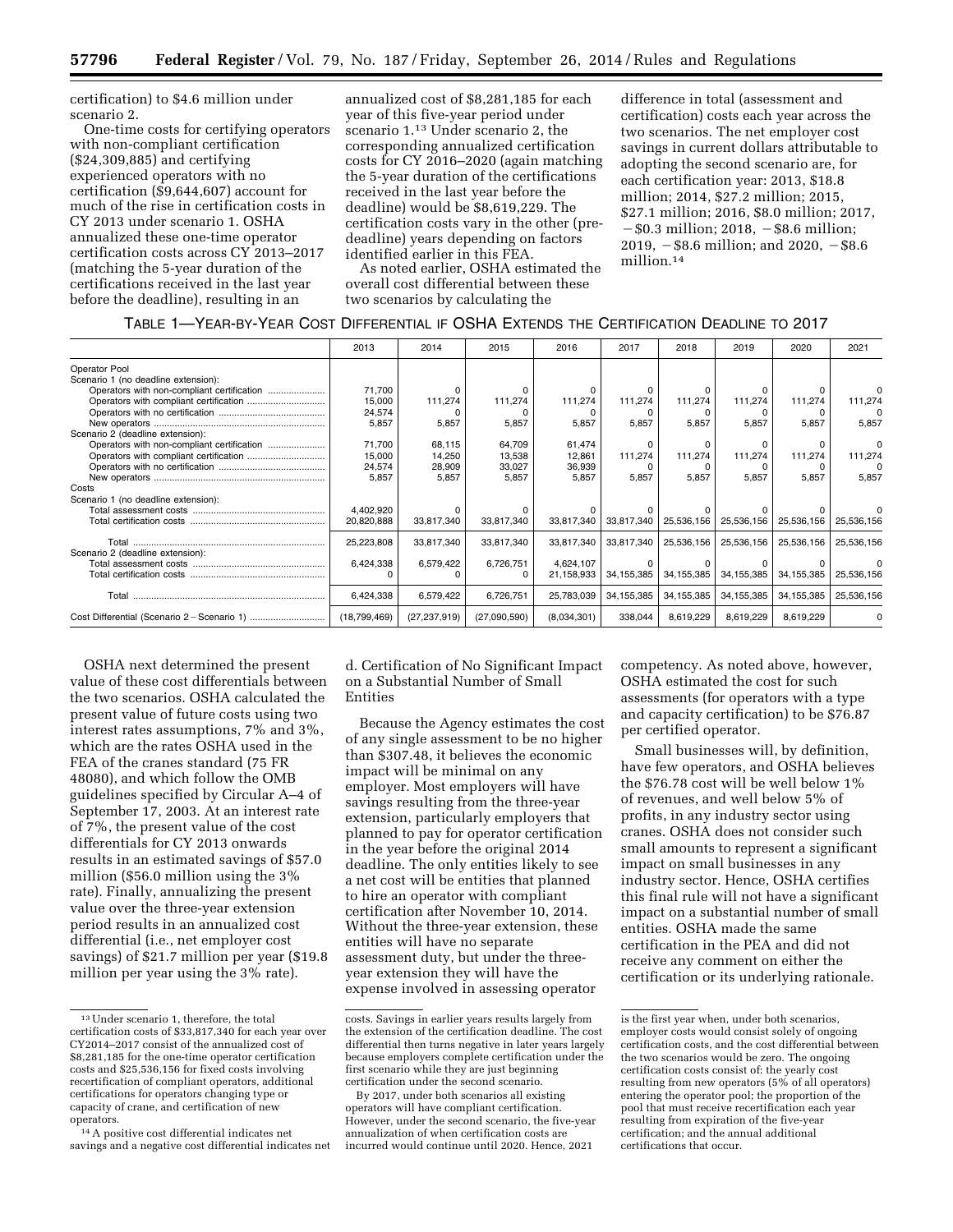certification) to \$4.6 million under scenario 2.

One-time costs for certifying operators with non-compliant certification (\$24,309,885) and certifying experienced operators with no certification (\$9,644,607) account for much of the rise in certification costs in CY 2013 under scenario 1. OSHA annualized these one-time operator certification costs across CY 2013–2017 (matching the 5-year duration of the certifications received in the last year before the deadline), resulting in an

annualized cost of \$8,281,185 for each year of this five-year period under scenario 1.13 Under scenario 2, the corresponding annualized certification costs for CY 2016–2020 (again matching the 5-year duration of the certifications received in the last year before the deadline) would be \$8,619,229. The certification costs vary in the other (predeadline) years depending on factors identified earlier in this FEA.

As noted earlier, OSHA estimated the overall cost differential between these two scenarios by calculating the

difference in total (assessment and certification) costs each year across the two scenarios. The net employer cost savings in current dollars attributable to adopting the second scenario are, for each certification year: 2013, \$18.8 million; 2014, \$27.2 million; 2015, \$27.1 million; 2016, \$8.0 million; 2017,  $-$ \$0.3 million; 2018,  $-$ \$8.6 million; 2019,  $-$ \$8.6 million; and 2020,  $-$ \$8.6 million.14

|  | Table 1—Year-by-Year Cost Differential if OSHA Extends the Certification Deadline to 2017 |
|--|-------------------------------------------------------------------------------------------|
|--|-------------------------------------------------------------------------------------------|

|                                            | 2013         | 2014           | 2015         | 2016        | 2017       | 2018       | 2019       | 2020         | 2021       |
|--------------------------------------------|--------------|----------------|--------------|-------------|------------|------------|------------|--------------|------------|
| Operator Pool                              |              |                |              |             |            |            |            |              |            |
| Scenario 1 (no deadline extension):        |              |                |              |             |            |            |            |              |            |
| Operators with non-compliant certification | 71,700       |                |              |             |            |            |            |              |            |
|                                            | 15,000       | 111,274        | 111,274      | 111,274     | 111,274    | 111,274    | 111,274    | 111,274      | 111,274    |
|                                            | 24,574       |                |              |             |            |            |            |              |            |
|                                            | 5,857        | 5,857          | 5,857        | 5,857       | 5,857      | 5,857      | 5,857      | 5,857        | 5.857      |
| Scenario 2 (deadline extension):           |              |                |              |             |            |            |            |              |            |
| Operators with non-compliant certification | 71,700       | 68,115         | 64,709       | 61,474      |            |            |            |              |            |
|                                            | 15,000       | 14,250         | 13,538       | 12,861      | 111,274    | 111,274    | 111,274    | 111,274      | 111,274    |
|                                            | 24,574       | 28,909         | 33,027       | 36,939      |            |            |            |              |            |
|                                            | 5,857        | 5,857          | 5,857        | 5,857       | 5,857      | 5,857      | 5,857      | 5,857        | 5,857      |
| Costs                                      |              |                |              |             |            |            |            |              |            |
| Scenario 1 (no deadline extension):        |              |                |              |             |            |            |            |              |            |
|                                            | 4,402,920    |                |              |             |            |            |            |              |            |
|                                            | 20,820,888   | 33,817,340     | 33,817,340   | 33,817,340  | 33,817,340 | 25,536,156 | 25,536,156 | 25,536,156   | 25,536,156 |
|                                            | 25,223,808   | 33,817,340     | 33,817,340   | 33,817,340  | 33,817,340 | 25,536,156 | 25,536,156 | 25,536,156   | 25,536,156 |
| Scenario 2 (deadline extension):           |              |                |              |             |            |            |            |              |            |
|                                            | 6,424,338    | 6,579,422      | 6,726,751    | 4,624,107   |            |            |            |              |            |
|                                            |              |                |              | 21,158,933  | 34,155,385 | 34,155,385 | 34,155,385 | 34,155,385   | 25,536,156 |
| Total                                      | 6,424,338    | 6,579,422      | 6,726,751    | 25,783,039  | 34,155,385 | 34,155,385 | 34,155,385 | 34, 155, 385 | 25,536,156 |
|                                            | (18,799,469) | (27, 237, 919) | (27,090,590) | (8,034,301) | 338,044    | 8,619,229  | 8,619,229  | 8,619,229    |            |

OSHA next determined the present value of these cost differentials between the two scenarios. OSHA calculated the present value of future costs using two interest rates assumptions, 7% and 3%, which are the rates OSHA used in the FEA of the cranes standard (75 FR 48080), and which follow the OMB guidelines specified by Circular A–4 of September 17, 2003. At an interest rate of 7%, the present value of the cost differentials for CY 2013 onwards results in an estimated savings of \$57.0 million (\$56.0 million using the 3% rate). Finally, annualizing the present value over the three-year extension period results in an annualized cost differential (i.e., net employer cost savings) of \$21.7 million per year (\$19.8 million per year using the 3% rate).

d. Certification of No Significant Impact on a Substantial Number of Small Entities

Because the Agency estimates the cost of any single assessment to be no higher than \$307.48, it believes the economic impact will be minimal on any employer. Most employers will have savings resulting from the three-year extension, particularly employers that planned to pay for operator certification in the year before the original 2014 deadline. The only entities likely to see a net cost will be entities that planned to hire an operator with compliant certification after November 10, 2014. Without the three-year extension, these entities will have no separate assessment duty, but under the threeyear extension they will have the expense involved in assessing operator

competency. As noted above, however, OSHA estimated the cost for such assessments (for operators with a type and capacity certification) to be \$76.87 per certified operator.

Small businesses will, by definition, have few operators, and OSHA believes the \$76.78 cost will be well below 1% of revenues, and well below 5% of profits, in any industry sector using cranes. OSHA does not consider such small amounts to represent a significant impact on small businesses in any industry sector. Hence, OSHA certifies this final rule will not have a significant impact on a substantial number of small entities. OSHA made the same certification in the PEA and did not receive any comment on either the certification or its underlying rationale.

<sup>13</sup>Under scenario 1, therefore, the total certification costs of \$33,817,340 for each year over CY2014–2017 consist of the annualized cost of \$8,281,185 for the one-time operator certification costs and \$25,536,156 for fixed costs involving recertification of compliant operators, additional certifications for operators changing type or capacity of crane, and certification of new operators.

<sup>14</sup>A positive cost differential indicates net savings and a negative cost differential indicates net

costs. Savings in earlier years results largely from the extension of the certification deadline. The cost differential then turns negative in later years largely because employers complete certification under the first scenario while they are just beginning certification under the second scenario.

By 2017, under both scenarios all existing operators will have compliant certification. However, under the second scenario, the five-year annualization of when certification costs are incurred would continue until 2020. Hence, 2021

is the first year when, under both scenarios, employer costs would consist solely of ongoing certification costs, and the cost differential between the two scenarios would be zero. The ongoing certification costs consist of: the yearly cost resulting from new operators (5% of all operators) entering the operator pool; the proportion of the pool that must receive recertification each year resulting from expiration of the five-year certification; and the annual additional certifications that occur.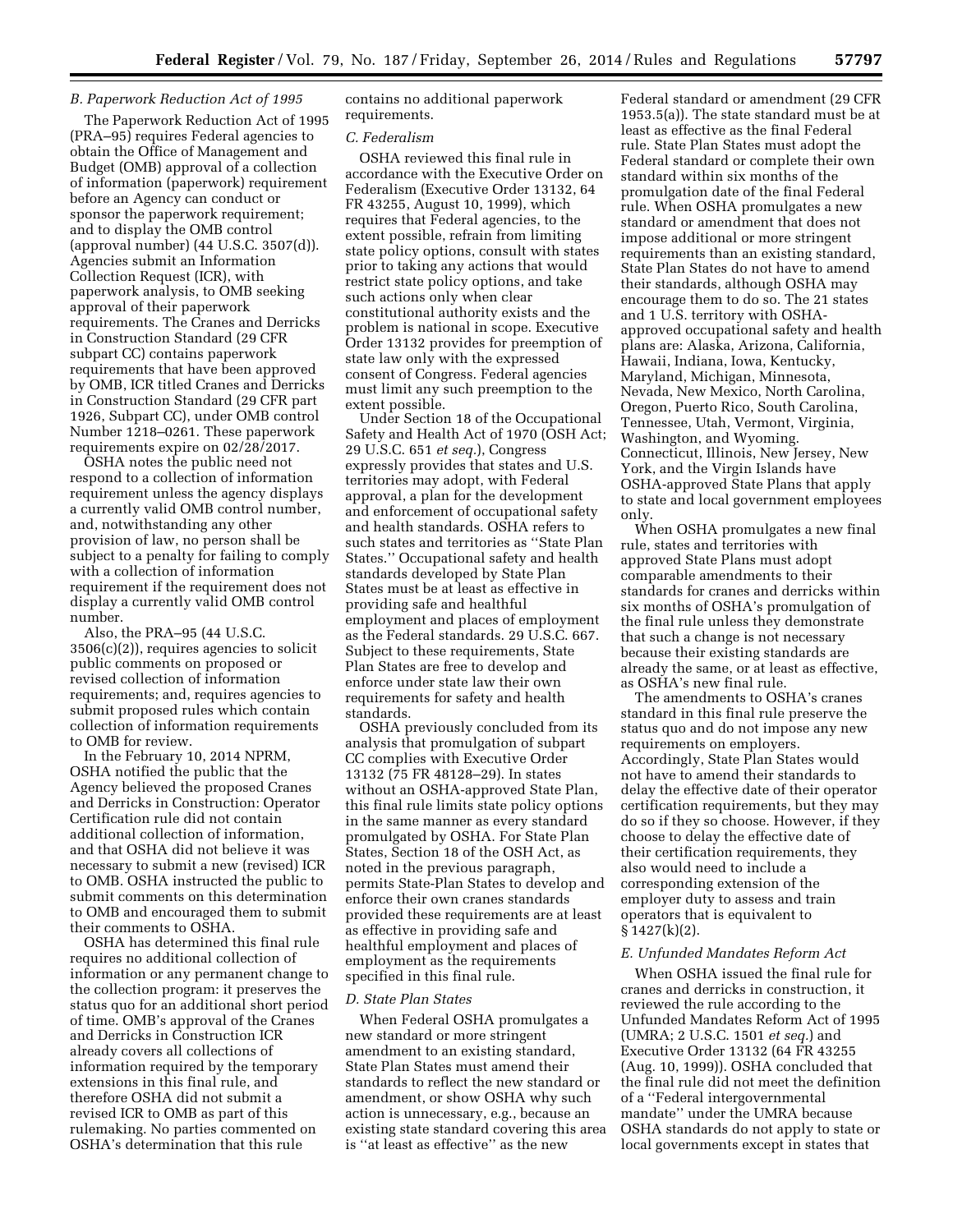### *B. Paperwork Reduction Act of 1995*

The Paperwork Reduction Act of 1995 (PRA–95) requires Federal agencies to obtain the Office of Management and Budget (OMB) approval of a collection of information (paperwork) requirement before an Agency can conduct or sponsor the paperwork requirement; and to display the OMB control (approval number) (44 U.S.C. 3507(d)). Agencies submit an Information Collection Request (ICR), with paperwork analysis, to OMB seeking approval of their paperwork requirements. The Cranes and Derricks in Construction Standard (29 CFR subpart CC) contains paperwork requirements that have been approved by OMB, ICR titled Cranes and Derricks in Construction Standard (29 CFR part 1926, Subpart CC), under OMB control Number 1218–0261. These paperwork requirements expire on 02/28/2017.

OSHA notes the public need not respond to a collection of information requirement unless the agency displays a currently valid OMB control number, and, notwithstanding any other provision of law, no person shall be subject to a penalty for failing to comply with a collection of information requirement if the requirement does not display a currently valid OMB control number.

Also, the PRA–95 (44 U.S.C. 3506(c)(2)), requires agencies to solicit public comments on proposed or revised collection of information requirements; and, requires agencies to submit proposed rules which contain collection of information requirements to OMB for review.

In the February 10, 2014 NPRM, OSHA notified the public that the Agency believed the proposed Cranes and Derricks in Construction: Operator Certification rule did not contain additional collection of information, and that OSHA did not believe it was necessary to submit a new (revised) ICR to OMB. OSHA instructed the public to submit comments on this determination to OMB and encouraged them to submit their comments to OSHA.

OSHA has determined this final rule requires no additional collection of information or any permanent change to the collection program: it preserves the status quo for an additional short period of time. OMB's approval of the Cranes and Derricks in Construction ICR already covers all collections of information required by the temporary extensions in this final rule, and therefore OSHA did not submit a revised ICR to OMB as part of this rulemaking. No parties commented on OSHA's determination that this rule

contains no additional paperwork requirements.

#### *C. Federalism*

OSHA reviewed this final rule in accordance with the Executive Order on Federalism (Executive Order 13132, 64 FR 43255, August 10, 1999), which requires that Federal agencies, to the extent possible, refrain from limiting state policy options, consult with states prior to taking any actions that would restrict state policy options, and take such actions only when clear constitutional authority exists and the problem is national in scope. Executive Order 13132 provides for preemption of state law only with the expressed consent of Congress. Federal agencies must limit any such preemption to the extent possible.

Under Section 18 of the Occupational Safety and Health Act of 1970 (OSH Act; 29 U.S.C. 651 *et seq.*), Congress expressly provides that states and U.S. territories may adopt, with Federal approval, a plan for the development and enforcement of occupational safety and health standards. OSHA refers to such states and territories as ''State Plan States.'' Occupational safety and health standards developed by State Plan States must be at least as effective in providing safe and healthful employment and places of employment as the Federal standards. 29 U.S.C. 667. Subject to these requirements, State Plan States are free to develop and enforce under state law their own requirements for safety and health standards.

OSHA previously concluded from its analysis that promulgation of subpart CC complies with Executive Order 13132 (75 FR 48128–29). In states without an OSHA-approved State Plan, this final rule limits state policy options in the same manner as every standard promulgated by OSHA. For State Plan States, Section 18 of the OSH Act, as noted in the previous paragraph, permits State-Plan States to develop and enforce their own cranes standards provided these requirements are at least as effective in providing safe and healthful employment and places of employment as the requirements specified in this final rule.

#### *D. State Plan States*

When Federal OSHA promulgates a new standard or more stringent amendment to an existing standard, State Plan States must amend their standards to reflect the new standard or amendment, or show OSHA why such action is unnecessary, e.g., because an existing state standard covering this area is ''at least as effective'' as the new

Federal standard or amendment (29 CFR 1953.5(a)). The state standard must be at least as effective as the final Federal rule. State Plan States must adopt the Federal standard or complete their own standard within six months of the promulgation date of the final Federal rule. When OSHA promulgates a new standard or amendment that does not impose additional or more stringent requirements than an existing standard, State Plan States do not have to amend their standards, although OSHA may encourage them to do so. The 21 states and 1 U.S. territory with OSHAapproved occupational safety and health plans are: Alaska, Arizona, California, Hawaii, Indiana, Iowa, Kentucky, Maryland, Michigan, Minnesota, Nevada, New Mexico, North Carolina, Oregon, Puerto Rico, South Carolina, Tennessee, Utah, Vermont, Virginia, Washington, and Wyoming. Connecticut, Illinois, New Jersey, New York, and the Virgin Islands have OSHA-approved State Plans that apply to state and local government employees only.

When OSHA promulgates a new final rule, states and territories with approved State Plans must adopt comparable amendments to their standards for cranes and derricks within six months of OSHA's promulgation of the final rule unless they demonstrate that such a change is not necessary because their existing standards are already the same, or at least as effective, as OSHA's new final rule.

The amendments to OSHA's cranes standard in this final rule preserve the status quo and do not impose any new requirements on employers. Accordingly, State Plan States would not have to amend their standards to delay the effective date of their operator certification requirements, but they may do so if they so choose. However, if they choose to delay the effective date of their certification requirements, they also would need to include a corresponding extension of the employer duty to assess and train operators that is equivalent to § 1427(k)(2).

#### *E. Unfunded Mandates Reform Act*

When OSHA issued the final rule for cranes and derricks in construction, it reviewed the rule according to the Unfunded Mandates Reform Act of 1995 (UMRA; 2 U.S.C. 1501 *et seq.*) and Executive Order 13132 (64 FR 43255 (Aug. 10, 1999)). OSHA concluded that the final rule did not meet the definition of a ''Federal intergovernmental mandate'' under the UMRA because OSHA standards do not apply to state or local governments except in states that